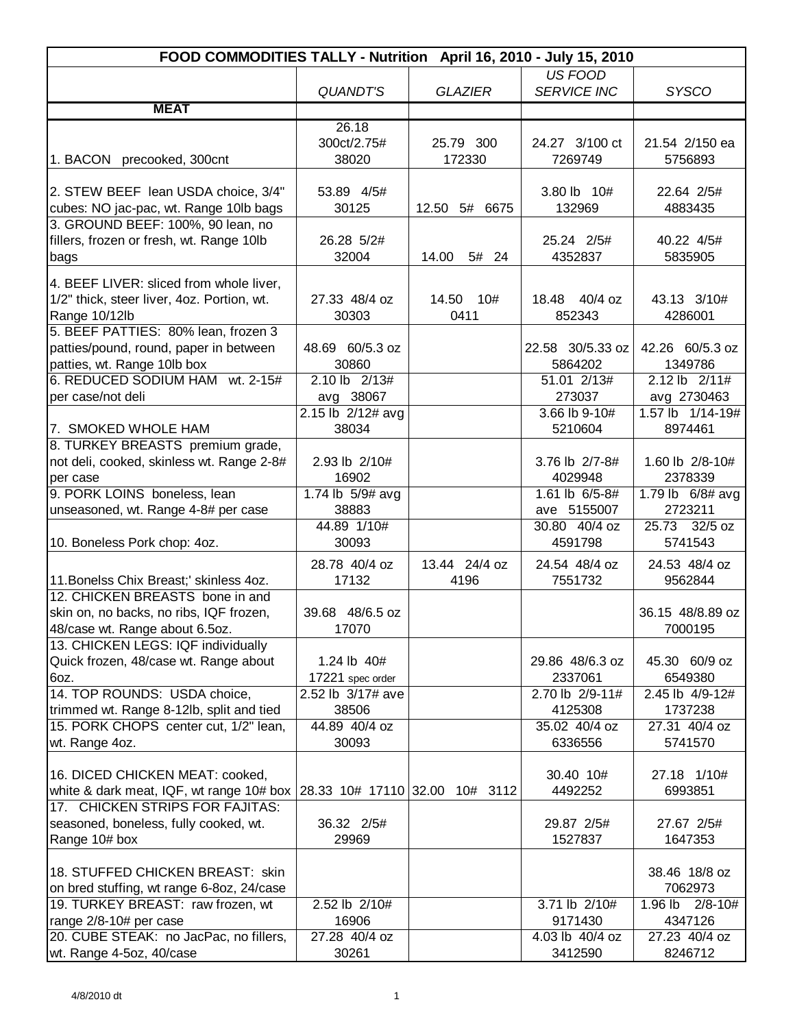| US FOOD<br>QUANDT'S<br><b>SERVICE INC</b><br><b>GLAZIER</b><br><b>SYSCO</b><br><b>MEAT</b><br>26.18<br>300ct/2.75#<br>24.27 3/100 ct<br>21.54 2/150 ea<br>25.79 300<br>38020<br>172330<br>1. BACON precooked, 300cnt<br>7269749<br>5756893<br>3.80 lb 10#<br>22.64 2/5#<br>53.89 4/5#<br>30125<br>12.50 5# 6675<br>132969<br>4883435<br>26.28 5/2#<br>25.24 2/5#<br>40.22 4/5#<br>32004<br>14.00<br>5# 24<br>4352837<br>5835905<br>4. BEEF LIVER: sliced from whole liver,<br>1/2" thick, steer liver, 4oz. Portion, wt.<br>27.33 48/4 oz<br>18.48 40/4 oz<br>43.13 3/10#<br>14.50<br>10#<br>Range 10/12lb<br>30303<br>0411<br>852343<br>4286001<br>5. BEEF PATTIES: 80% lean, frozen 3<br>patties/pound, round, paper in between<br>48.69 60/5.3 oz<br>42.26 60/5.3 oz<br>22.58 30/5.33 oz<br>patties, wt. Range 10lb box<br>30860<br>5864202<br>1349786<br>6. REDUCED SODIUM HAM wt. 2-15#<br>2.10 lb 2/13#<br>2.12 lb 2/11#<br>51.01 2/13#<br>avg 38067<br>273037<br>avg 2730463<br>per case/not deli<br>1.57 lb 1/14-19#<br>2.15 lb 2/12# avg<br>3.66 lb 9-10#<br>7. SMOKED WHOLE HAM<br>38034<br>5210604<br>8974461<br>8. TURKEY BREASTS premium grade,<br>not deli, cooked, skinless wt. Range 2-8#<br>2.93 lb 2/10#<br>3.76 lb 2/7-8#<br>1.60 lb 2/8-10#<br>16902<br>4029948<br>2378339<br>per case<br>9. PORK LOINS boneless, lean<br>1.74 lb 5/9# avg<br>1.61 lb 6/5-8#<br>1.79 lb 6/8# avg<br>unseasoned, wt. Range 4-8# per case<br>38883<br>2723211<br>ave 5155007<br>44.89 1/10#<br>30.80 40/4 oz<br>25.73 32/5 oz<br>30093<br>5741543<br>4591798<br>28.78 40/4 oz<br>24.54 48/4 oz<br>24.53 48/4 oz<br>13.44 24/4 oz<br>11. Bonelss Chix Breast;' skinless 4oz.<br>17132<br>4196<br>7551732<br>9562844<br>12. CHICKEN BREASTS bone in and<br>skin on, no backs, no ribs, IQF frozen,<br>39.68 48/6.5 oz<br>36.15 48/8.89 oz<br>48/case wt. Range about 6.5oz.<br>17070<br>7000195<br>1.24 lb 40#<br>45.30 60/9 oz<br>29.86 48/6.3 oz<br>2337061<br>6549380<br>17221 spec order<br>2.52 lb 3/17# ave<br>2.70 lb 2/9-11#<br>2.45 lb 4/9-12#<br>38506<br>4125308<br>1737238<br>15. PORK CHOPS center cut, 1/2" lean,<br>44.89 40/4 oz<br>35.02 40/4 oz<br>27.31 40/4 oz<br>wt. Range 4oz.<br>30093<br>6336556<br>5741570<br>27.18 1/10#<br>16. DICED CHICKEN MEAT: cooked,<br>30.40 10#<br>white & dark meat, IQF, wt range 10# box<br>4492252<br>6993851<br>28.33 10# 17110 32.00 10# 3112 | FOOD COMMODITIES TALLY - Nutrition April 16, 2010 - July 15, 2010 |  |  |  |  |
|--------------------------------------------------------------------------------------------------------------------------------------------------------------------------------------------------------------------------------------------------------------------------------------------------------------------------------------------------------------------------------------------------------------------------------------------------------------------------------------------------------------------------------------------------------------------------------------------------------------------------------------------------------------------------------------------------------------------------------------------------------------------------------------------------------------------------------------------------------------------------------------------------------------------------------------------------------------------------------------------------------------------------------------------------------------------------------------------------------------------------------------------------------------------------------------------------------------------------------------------------------------------------------------------------------------------------------------------------------------------------------------------------------------------------------------------------------------------------------------------------------------------------------------------------------------------------------------------------------------------------------------------------------------------------------------------------------------------------------------------------------------------------------------------------------------------------------------------------------------------------------------------------------------------------------------------------------------------------------------------------------------------------------------------------------------------------------------------------------------------------------------------------------------------------------------------------------------------------------------------------------------------------------------------------------------------------------------------------------------------------------------------------------|-------------------------------------------------------------------|--|--|--|--|
|                                                                                                                                                                                                                                                                                                                                                                                                                                                                                                                                                                                                                                                                                                                                                                                                                                                                                                                                                                                                                                                                                                                                                                                                                                                                                                                                                                                                                                                                                                                                                                                                                                                                                                                                                                                                                                                                                                                                                                                                                                                                                                                                                                                                                                                                                                                                                                                                        |                                                                   |  |  |  |  |
|                                                                                                                                                                                                                                                                                                                                                                                                                                                                                                                                                                                                                                                                                                                                                                                                                                                                                                                                                                                                                                                                                                                                                                                                                                                                                                                                                                                                                                                                                                                                                                                                                                                                                                                                                                                                                                                                                                                                                                                                                                                                                                                                                                                                                                                                                                                                                                                                        |                                                                   |  |  |  |  |
|                                                                                                                                                                                                                                                                                                                                                                                                                                                                                                                                                                                                                                                                                                                                                                                                                                                                                                                                                                                                                                                                                                                                                                                                                                                                                                                                                                                                                                                                                                                                                                                                                                                                                                                                                                                                                                                                                                                                                                                                                                                                                                                                                                                                                                                                                                                                                                                                        |                                                                   |  |  |  |  |
|                                                                                                                                                                                                                                                                                                                                                                                                                                                                                                                                                                                                                                                                                                                                                                                                                                                                                                                                                                                                                                                                                                                                                                                                                                                                                                                                                                                                                                                                                                                                                                                                                                                                                                                                                                                                                                                                                                                                                                                                                                                                                                                                                                                                                                                                                                                                                                                                        |                                                                   |  |  |  |  |
|                                                                                                                                                                                                                                                                                                                                                                                                                                                                                                                                                                                                                                                                                                                                                                                                                                                                                                                                                                                                                                                                                                                                                                                                                                                                                                                                                                                                                                                                                                                                                                                                                                                                                                                                                                                                                                                                                                                                                                                                                                                                                                                                                                                                                                                                                                                                                                                                        |                                                                   |  |  |  |  |
|                                                                                                                                                                                                                                                                                                                                                                                                                                                                                                                                                                                                                                                                                                                                                                                                                                                                                                                                                                                                                                                                                                                                                                                                                                                                                                                                                                                                                                                                                                                                                                                                                                                                                                                                                                                                                                                                                                                                                                                                                                                                                                                                                                                                                                                                                                                                                                                                        |                                                                   |  |  |  |  |
|                                                                                                                                                                                                                                                                                                                                                                                                                                                                                                                                                                                                                                                                                                                                                                                                                                                                                                                                                                                                                                                                                                                                                                                                                                                                                                                                                                                                                                                                                                                                                                                                                                                                                                                                                                                                                                                                                                                                                                                                                                                                                                                                                                                                                                                                                                                                                                                                        |                                                                   |  |  |  |  |
|                                                                                                                                                                                                                                                                                                                                                                                                                                                                                                                                                                                                                                                                                                                                                                                                                                                                                                                                                                                                                                                                                                                                                                                                                                                                                                                                                                                                                                                                                                                                                                                                                                                                                                                                                                                                                                                                                                                                                                                                                                                                                                                                                                                                                                                                                                                                                                                                        | 2. STEW BEEF lean USDA choice, 3/4"                               |  |  |  |  |
|                                                                                                                                                                                                                                                                                                                                                                                                                                                                                                                                                                                                                                                                                                                                                                                                                                                                                                                                                                                                                                                                                                                                                                                                                                                                                                                                                                                                                                                                                                                                                                                                                                                                                                                                                                                                                                                                                                                                                                                                                                                                                                                                                                                                                                                                                                                                                                                                        | cubes: NO jac-pac, wt. Range 10lb bags                            |  |  |  |  |
|                                                                                                                                                                                                                                                                                                                                                                                                                                                                                                                                                                                                                                                                                                                                                                                                                                                                                                                                                                                                                                                                                                                                                                                                                                                                                                                                                                                                                                                                                                                                                                                                                                                                                                                                                                                                                                                                                                                                                                                                                                                                                                                                                                                                                                                                                                                                                                                                        | 3. GROUND BEEF: 100%, 90 lean, no                                 |  |  |  |  |
|                                                                                                                                                                                                                                                                                                                                                                                                                                                                                                                                                                                                                                                                                                                                                                                                                                                                                                                                                                                                                                                                                                                                                                                                                                                                                                                                                                                                                                                                                                                                                                                                                                                                                                                                                                                                                                                                                                                                                                                                                                                                                                                                                                                                                                                                                                                                                                                                        | fillers, frozen or fresh, wt. Range 10lb                          |  |  |  |  |
|                                                                                                                                                                                                                                                                                                                                                                                                                                                                                                                                                                                                                                                                                                                                                                                                                                                                                                                                                                                                                                                                                                                                                                                                                                                                                                                                                                                                                                                                                                                                                                                                                                                                                                                                                                                                                                                                                                                                                                                                                                                                                                                                                                                                                                                                                                                                                                                                        | bags                                                              |  |  |  |  |
|                                                                                                                                                                                                                                                                                                                                                                                                                                                                                                                                                                                                                                                                                                                                                                                                                                                                                                                                                                                                                                                                                                                                                                                                                                                                                                                                                                                                                                                                                                                                                                                                                                                                                                                                                                                                                                                                                                                                                                                                                                                                                                                                                                                                                                                                                                                                                                                                        |                                                                   |  |  |  |  |
|                                                                                                                                                                                                                                                                                                                                                                                                                                                                                                                                                                                                                                                                                                                                                                                                                                                                                                                                                                                                                                                                                                                                                                                                                                                                                                                                                                                                                                                                                                                                                                                                                                                                                                                                                                                                                                                                                                                                                                                                                                                                                                                                                                                                                                                                                                                                                                                                        |                                                                   |  |  |  |  |
|                                                                                                                                                                                                                                                                                                                                                                                                                                                                                                                                                                                                                                                                                                                                                                                                                                                                                                                                                                                                                                                                                                                                                                                                                                                                                                                                                                                                                                                                                                                                                                                                                                                                                                                                                                                                                                                                                                                                                                                                                                                                                                                                                                                                                                                                                                                                                                                                        |                                                                   |  |  |  |  |
|                                                                                                                                                                                                                                                                                                                                                                                                                                                                                                                                                                                                                                                                                                                                                                                                                                                                                                                                                                                                                                                                                                                                                                                                                                                                                                                                                                                                                                                                                                                                                                                                                                                                                                                                                                                                                                                                                                                                                                                                                                                                                                                                                                                                                                                                                                                                                                                                        |                                                                   |  |  |  |  |
|                                                                                                                                                                                                                                                                                                                                                                                                                                                                                                                                                                                                                                                                                                                                                                                                                                                                                                                                                                                                                                                                                                                                                                                                                                                                                                                                                                                                                                                                                                                                                                                                                                                                                                                                                                                                                                                                                                                                                                                                                                                                                                                                                                                                                                                                                                                                                                                                        |                                                                   |  |  |  |  |
|                                                                                                                                                                                                                                                                                                                                                                                                                                                                                                                                                                                                                                                                                                                                                                                                                                                                                                                                                                                                                                                                                                                                                                                                                                                                                                                                                                                                                                                                                                                                                                                                                                                                                                                                                                                                                                                                                                                                                                                                                                                                                                                                                                                                                                                                                                                                                                                                        |                                                                   |  |  |  |  |
|                                                                                                                                                                                                                                                                                                                                                                                                                                                                                                                                                                                                                                                                                                                                                                                                                                                                                                                                                                                                                                                                                                                                                                                                                                                                                                                                                                                                                                                                                                                                                                                                                                                                                                                                                                                                                                                                                                                                                                                                                                                                                                                                                                                                                                                                                                                                                                                                        |                                                                   |  |  |  |  |
|                                                                                                                                                                                                                                                                                                                                                                                                                                                                                                                                                                                                                                                                                                                                                                                                                                                                                                                                                                                                                                                                                                                                                                                                                                                                                                                                                                                                                                                                                                                                                                                                                                                                                                                                                                                                                                                                                                                                                                                                                                                                                                                                                                                                                                                                                                                                                                                                        |                                                                   |  |  |  |  |
|                                                                                                                                                                                                                                                                                                                                                                                                                                                                                                                                                                                                                                                                                                                                                                                                                                                                                                                                                                                                                                                                                                                                                                                                                                                                                                                                                                                                                                                                                                                                                                                                                                                                                                                                                                                                                                                                                                                                                                                                                                                                                                                                                                                                                                                                                                                                                                                                        |                                                                   |  |  |  |  |
|                                                                                                                                                                                                                                                                                                                                                                                                                                                                                                                                                                                                                                                                                                                                                                                                                                                                                                                                                                                                                                                                                                                                                                                                                                                                                                                                                                                                                                                                                                                                                                                                                                                                                                                                                                                                                                                                                                                                                                                                                                                                                                                                                                                                                                                                                                                                                                                                        |                                                                   |  |  |  |  |
|                                                                                                                                                                                                                                                                                                                                                                                                                                                                                                                                                                                                                                                                                                                                                                                                                                                                                                                                                                                                                                                                                                                                                                                                                                                                                                                                                                                                                                                                                                                                                                                                                                                                                                                                                                                                                                                                                                                                                                                                                                                                                                                                                                                                                                                                                                                                                                                                        |                                                                   |  |  |  |  |
|                                                                                                                                                                                                                                                                                                                                                                                                                                                                                                                                                                                                                                                                                                                                                                                                                                                                                                                                                                                                                                                                                                                                                                                                                                                                                                                                                                                                                                                                                                                                                                                                                                                                                                                                                                                                                                                                                                                                                                                                                                                                                                                                                                                                                                                                                                                                                                                                        |                                                                   |  |  |  |  |
|                                                                                                                                                                                                                                                                                                                                                                                                                                                                                                                                                                                                                                                                                                                                                                                                                                                                                                                                                                                                                                                                                                                                                                                                                                                                                                                                                                                                                                                                                                                                                                                                                                                                                                                                                                                                                                                                                                                                                                                                                                                                                                                                                                                                                                                                                                                                                                                                        |                                                                   |  |  |  |  |
|                                                                                                                                                                                                                                                                                                                                                                                                                                                                                                                                                                                                                                                                                                                                                                                                                                                                                                                                                                                                                                                                                                                                                                                                                                                                                                                                                                                                                                                                                                                                                                                                                                                                                                                                                                                                                                                                                                                                                                                                                                                                                                                                                                                                                                                                                                                                                                                                        |                                                                   |  |  |  |  |
|                                                                                                                                                                                                                                                                                                                                                                                                                                                                                                                                                                                                                                                                                                                                                                                                                                                                                                                                                                                                                                                                                                                                                                                                                                                                                                                                                                                                                                                                                                                                                                                                                                                                                                                                                                                                                                                                                                                                                                                                                                                                                                                                                                                                                                                                                                                                                                                                        |                                                                   |  |  |  |  |
|                                                                                                                                                                                                                                                                                                                                                                                                                                                                                                                                                                                                                                                                                                                                                                                                                                                                                                                                                                                                                                                                                                                                                                                                                                                                                                                                                                                                                                                                                                                                                                                                                                                                                                                                                                                                                                                                                                                                                                                                                                                                                                                                                                                                                                                                                                                                                                                                        |                                                                   |  |  |  |  |
|                                                                                                                                                                                                                                                                                                                                                                                                                                                                                                                                                                                                                                                                                                                                                                                                                                                                                                                                                                                                                                                                                                                                                                                                                                                                                                                                                                                                                                                                                                                                                                                                                                                                                                                                                                                                                                                                                                                                                                                                                                                                                                                                                                                                                                                                                                                                                                                                        | 10. Boneless Pork chop: 4oz.                                      |  |  |  |  |
|                                                                                                                                                                                                                                                                                                                                                                                                                                                                                                                                                                                                                                                                                                                                                                                                                                                                                                                                                                                                                                                                                                                                                                                                                                                                                                                                                                                                                                                                                                                                                                                                                                                                                                                                                                                                                                                                                                                                                                                                                                                                                                                                                                                                                                                                                                                                                                                                        |                                                                   |  |  |  |  |
|                                                                                                                                                                                                                                                                                                                                                                                                                                                                                                                                                                                                                                                                                                                                                                                                                                                                                                                                                                                                                                                                                                                                                                                                                                                                                                                                                                                                                                                                                                                                                                                                                                                                                                                                                                                                                                                                                                                                                                                                                                                                                                                                                                                                                                                                                                                                                                                                        |                                                                   |  |  |  |  |
|                                                                                                                                                                                                                                                                                                                                                                                                                                                                                                                                                                                                                                                                                                                                                                                                                                                                                                                                                                                                                                                                                                                                                                                                                                                                                                                                                                                                                                                                                                                                                                                                                                                                                                                                                                                                                                                                                                                                                                                                                                                                                                                                                                                                                                                                                                                                                                                                        |                                                                   |  |  |  |  |
|                                                                                                                                                                                                                                                                                                                                                                                                                                                                                                                                                                                                                                                                                                                                                                                                                                                                                                                                                                                                                                                                                                                                                                                                                                                                                                                                                                                                                                                                                                                                                                                                                                                                                                                                                                                                                                                                                                                                                                                                                                                                                                                                                                                                                                                                                                                                                                                                        |                                                                   |  |  |  |  |
|                                                                                                                                                                                                                                                                                                                                                                                                                                                                                                                                                                                                                                                                                                                                                                                                                                                                                                                                                                                                                                                                                                                                                                                                                                                                                                                                                                                                                                                                                                                                                                                                                                                                                                                                                                                                                                                                                                                                                                                                                                                                                                                                                                                                                                                                                                                                                                                                        |                                                                   |  |  |  |  |
|                                                                                                                                                                                                                                                                                                                                                                                                                                                                                                                                                                                                                                                                                                                                                                                                                                                                                                                                                                                                                                                                                                                                                                                                                                                                                                                                                                                                                                                                                                                                                                                                                                                                                                                                                                                                                                                                                                                                                                                                                                                                                                                                                                                                                                                                                                                                                                                                        | 13. CHICKEN LEGS: IQF individually                                |  |  |  |  |
|                                                                                                                                                                                                                                                                                                                                                                                                                                                                                                                                                                                                                                                                                                                                                                                                                                                                                                                                                                                                                                                                                                                                                                                                                                                                                                                                                                                                                                                                                                                                                                                                                                                                                                                                                                                                                                                                                                                                                                                                                                                                                                                                                                                                                                                                                                                                                                                                        | Quick frozen, 48/case wt. Range about                             |  |  |  |  |
|                                                                                                                                                                                                                                                                                                                                                                                                                                                                                                                                                                                                                                                                                                                                                                                                                                                                                                                                                                                                                                                                                                                                                                                                                                                                                                                                                                                                                                                                                                                                                                                                                                                                                                                                                                                                                                                                                                                                                                                                                                                                                                                                                                                                                                                                                                                                                                                                        | 6oz.                                                              |  |  |  |  |
|                                                                                                                                                                                                                                                                                                                                                                                                                                                                                                                                                                                                                                                                                                                                                                                                                                                                                                                                                                                                                                                                                                                                                                                                                                                                                                                                                                                                                                                                                                                                                                                                                                                                                                                                                                                                                                                                                                                                                                                                                                                                                                                                                                                                                                                                                                                                                                                                        | 14. TOP ROUNDS: USDA choice,                                      |  |  |  |  |
|                                                                                                                                                                                                                                                                                                                                                                                                                                                                                                                                                                                                                                                                                                                                                                                                                                                                                                                                                                                                                                                                                                                                                                                                                                                                                                                                                                                                                                                                                                                                                                                                                                                                                                                                                                                                                                                                                                                                                                                                                                                                                                                                                                                                                                                                                                                                                                                                        | trimmed wt. Range 8-12lb, split and tied                          |  |  |  |  |
|                                                                                                                                                                                                                                                                                                                                                                                                                                                                                                                                                                                                                                                                                                                                                                                                                                                                                                                                                                                                                                                                                                                                                                                                                                                                                                                                                                                                                                                                                                                                                                                                                                                                                                                                                                                                                                                                                                                                                                                                                                                                                                                                                                                                                                                                                                                                                                                                        |                                                                   |  |  |  |  |
|                                                                                                                                                                                                                                                                                                                                                                                                                                                                                                                                                                                                                                                                                                                                                                                                                                                                                                                                                                                                                                                                                                                                                                                                                                                                                                                                                                                                                                                                                                                                                                                                                                                                                                                                                                                                                                                                                                                                                                                                                                                                                                                                                                                                                                                                                                                                                                                                        |                                                                   |  |  |  |  |
|                                                                                                                                                                                                                                                                                                                                                                                                                                                                                                                                                                                                                                                                                                                                                                                                                                                                                                                                                                                                                                                                                                                                                                                                                                                                                                                                                                                                                                                                                                                                                                                                                                                                                                                                                                                                                                                                                                                                                                                                                                                                                                                                                                                                                                                                                                                                                                                                        |                                                                   |  |  |  |  |
|                                                                                                                                                                                                                                                                                                                                                                                                                                                                                                                                                                                                                                                                                                                                                                                                                                                                                                                                                                                                                                                                                                                                                                                                                                                                                                                                                                                                                                                                                                                                                                                                                                                                                                                                                                                                                                                                                                                                                                                                                                                                                                                                                                                                                                                                                                                                                                                                        |                                                                   |  |  |  |  |
|                                                                                                                                                                                                                                                                                                                                                                                                                                                                                                                                                                                                                                                                                                                                                                                                                                                                                                                                                                                                                                                                                                                                                                                                                                                                                                                                                                                                                                                                                                                                                                                                                                                                                                                                                                                                                                                                                                                                                                                                                                                                                                                                                                                                                                                                                                                                                                                                        |                                                                   |  |  |  |  |
|                                                                                                                                                                                                                                                                                                                                                                                                                                                                                                                                                                                                                                                                                                                                                                                                                                                                                                                                                                                                                                                                                                                                                                                                                                                                                                                                                                                                                                                                                                                                                                                                                                                                                                                                                                                                                                                                                                                                                                                                                                                                                                                                                                                                                                                                                                                                                                                                        | 17. CHICKEN STRIPS FOR FAJITAS:                                   |  |  |  |  |
| 36.32 2/5#<br>29.87 2/5#<br>27.67 2/5#                                                                                                                                                                                                                                                                                                                                                                                                                                                                                                                                                                                                                                                                                                                                                                                                                                                                                                                                                                                                                                                                                                                                                                                                                                                                                                                                                                                                                                                                                                                                                                                                                                                                                                                                                                                                                                                                                                                                                                                                                                                                                                                                                                                                                                                                                                                                                                 | seasoned, boneless, fully cooked, wt.                             |  |  |  |  |
| 29969<br>1527837<br>1647353                                                                                                                                                                                                                                                                                                                                                                                                                                                                                                                                                                                                                                                                                                                                                                                                                                                                                                                                                                                                                                                                                                                                                                                                                                                                                                                                                                                                                                                                                                                                                                                                                                                                                                                                                                                                                                                                                                                                                                                                                                                                                                                                                                                                                                                                                                                                                                            | Range 10# box                                                     |  |  |  |  |
|                                                                                                                                                                                                                                                                                                                                                                                                                                                                                                                                                                                                                                                                                                                                                                                                                                                                                                                                                                                                                                                                                                                                                                                                                                                                                                                                                                                                                                                                                                                                                                                                                                                                                                                                                                                                                                                                                                                                                                                                                                                                                                                                                                                                                                                                                                                                                                                                        |                                                                   |  |  |  |  |
| 38.46 18/8 oz<br>7062973                                                                                                                                                                                                                                                                                                                                                                                                                                                                                                                                                                                                                                                                                                                                                                                                                                                                                                                                                                                                                                                                                                                                                                                                                                                                                                                                                                                                                                                                                                                                                                                                                                                                                                                                                                                                                                                                                                                                                                                                                                                                                                                                                                                                                                                                                                                                                                               | 18. STUFFED CHICKEN BREAST: skin                                  |  |  |  |  |
| 19. TURKEY BREAST: raw frozen, wt<br>2.52 lb 2/10#<br>3.71 lb 2/10#<br>1.96 lb<br>$2/8 - 10#$                                                                                                                                                                                                                                                                                                                                                                                                                                                                                                                                                                                                                                                                                                                                                                                                                                                                                                                                                                                                                                                                                                                                                                                                                                                                                                                                                                                                                                                                                                                                                                                                                                                                                                                                                                                                                                                                                                                                                                                                                                                                                                                                                                                                                                                                                                          | on bred stuffing, wt range 6-8oz, 24/case                         |  |  |  |  |
| 16906<br>9171430<br>4347126                                                                                                                                                                                                                                                                                                                                                                                                                                                                                                                                                                                                                                                                                                                                                                                                                                                                                                                                                                                                                                                                                                                                                                                                                                                                                                                                                                                                                                                                                                                                                                                                                                                                                                                                                                                                                                                                                                                                                                                                                                                                                                                                                                                                                                                                                                                                                                            | range 2/8-10# per case                                            |  |  |  |  |
| 27.28 40/4 oz<br>4.03 lb 40/4 oz<br>27.23 40/4 oz                                                                                                                                                                                                                                                                                                                                                                                                                                                                                                                                                                                                                                                                                                                                                                                                                                                                                                                                                                                                                                                                                                                                                                                                                                                                                                                                                                                                                                                                                                                                                                                                                                                                                                                                                                                                                                                                                                                                                                                                                                                                                                                                                                                                                                                                                                                                                      | 20. CUBE STEAK: no JacPac, no fillers,                            |  |  |  |  |
| 30261<br>3412590<br>8246712                                                                                                                                                                                                                                                                                                                                                                                                                                                                                                                                                                                                                                                                                                                                                                                                                                                                                                                                                                                                                                                                                                                                                                                                                                                                                                                                                                                                                                                                                                                                                                                                                                                                                                                                                                                                                                                                                                                                                                                                                                                                                                                                                                                                                                                                                                                                                                            | wt. Range 4-5oz, 40/case                                          |  |  |  |  |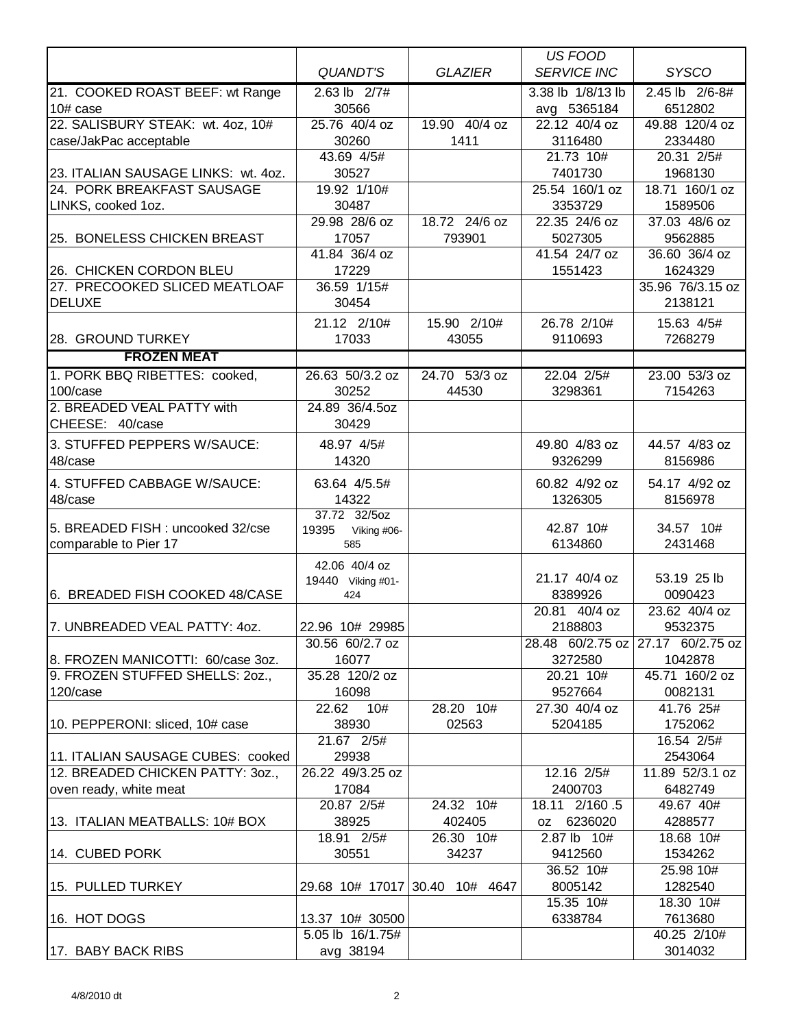|                                        |                                     |                                | US FOOD                  |                          |
|----------------------------------------|-------------------------------------|--------------------------------|--------------------------|--------------------------|
|                                        | <b>QUANDT'S</b>                     | <b>GLAZIER</b>                 | <b>SERVICE INC</b>       | <b>SYSCO</b>             |
| 21. COOKED ROAST BEEF: wt Range        | $2.63$ lb $2/7#$                    |                                | 3.38 lb 1/8/13 lb        | 2.45 lb 2/6-8#           |
| $10#$ case                             | 30566                               |                                | avg 5365184              | 6512802                  |
| 22. SALISBURY STEAK: wt. 4oz, 10#      | 25.76 40/4 oz                       | 19.90 40/4 oz                  | 22.12 40/4 oz            | 49.88 120/4 oz           |
| case/JakPac acceptable                 | 30260                               | 1411                           | 3116480                  | 2334480                  |
|                                        | 43.69 4/5#                          |                                | 21.73 10#                | 20.31 2/5#               |
| 23. ITALIAN SAUSAGE LINKS: wt. 4oz.    | 30527                               |                                | 7401730                  | 1968130                  |
| 24. PORK BREAKFAST SAUSAGE             | 19.92 1/10#                         |                                | 25.54 160/1 oz           | 18.71 160/1 oz           |
| LINKS, cooked 1oz.                     | 30487                               |                                | 3353729                  | 1589506                  |
|                                        | 29.98 28/6 oz                       | 18.72 24/6 oz                  | 22.35 24/6 oz            | 37.03 48/6 oz            |
| 25. BONELESS CHICKEN BREAST            | 17057<br>41.84 36/4 oz              | 793901                         | 5027305                  | 9562885                  |
| 26. CHICKEN CORDON BLEU                | 17229                               |                                | 41.54 24/7 oz<br>1551423 | 36.60 36/4 oz<br>1624329 |
| 27. PRECOOKED SLICED MEATLOAF          | 36.59 1/15#                         |                                |                          | 35.96 76/3.15 oz         |
| DELUXE                                 | 30454                               |                                |                          | 2138121                  |
|                                        |                                     |                                |                          |                          |
|                                        | 21.12 2/10#                         | 15.90 2/10#                    | 26.78 2/10#              | 15.63 4/5#               |
| 28. GROUND TURKEY                      | 17033                               | 43055                          | 9110693                  | 7268279                  |
| <b>FROZEN MEAT</b>                     |                                     |                                |                          |                          |
| 1. PORK BBQ RIBETTES: cooked,          | 26.63 50/3.2 oz<br>30252            | 24.70 53/3 oz                  | 22.04 2/5#<br>3298361    | 23.00 53/3 oz            |
| 100/case<br>2. BREADED VEAL PATTY with |                                     | 44530                          |                          | 7154263                  |
| CHEESE: 40/case                        | 24.89 36/4.5oz<br>30429             |                                |                          |                          |
|                                        |                                     |                                |                          |                          |
| 3. STUFFED PEPPERS W/SAUCE:            | 48.97 4/5#                          |                                | 49.80 4/83 oz            | 44.57 4/83 oz            |
| 48/case                                | 14320                               |                                | 9326299                  | 8156986                  |
| 4. STUFFED CABBAGE W/SAUCE:            | 63.64 4/5.5#                        |                                | 60.82 4/92 oz            | 54.17 4/92 oz            |
| 48/case                                | 14322                               |                                | 1326305                  | 8156978                  |
|                                        | 37.72 32/5oz                        |                                |                          |                          |
| 5. BREADED FISH: uncooked 32/cse       | 19395<br>Viking #06-                |                                | 42.87 10#                | 34.57 10#                |
| comparable to Pier 17                  | 585                                 |                                | 6134860                  | 2431468                  |
|                                        | 42.06 40/4 oz                       |                                | 21.17 40/4 oz            | 53.19 25 lb              |
| 6. BREADED FISH COOKED 48/CASE         | 19440 Viking #01-<br>424            |                                | 8389926                  | 0090423                  |
|                                        |                                     |                                | 20.81 40/4 oz            | 23.62 40/4 oz            |
| 7. UNBREADED VEAL PATTY: 4oz.          | 22.96 10# 29985                     |                                | 2188803                  | 9532375                  |
|                                        | 30.56 60/2.7 oz                     |                                | 28.48 60/2.75 oz         | 27.17 60/2.75 oz         |
| 8. FROZEN MANICOTTI: 60/case 3oz.      | 16077                               |                                | 3272580                  | 1042878                  |
| 9. FROZEN STUFFED SHELLS: 20Z.,        | 35.28 120/2 oz                      |                                | 20.21 10#                | 45.71 160/2 oz           |
| 120/case                               | 16098                               |                                | 9527664                  | 0082131                  |
|                                        | 22.62 10#                           | 28.20 10#                      | 27.30 40/4 oz            | 41.76 25#                |
| 10. PEPPERONI: sliced, 10# case        | 38930                               | 02563                          | 5204185                  | 1752062                  |
|                                        | 21.67 2/5#                          |                                |                          | 16.54 2/5#               |
| 11. ITALIAN SAUSAGE CUBES: cooked      | 29938                               |                                |                          | 2543064                  |
| 12. BREADED CHICKEN PATTY: 30Z.,       | 26.22 49/3.25 oz                    |                                | 12.16 2/5#               | 11.89 52/3.1 oz          |
| oven ready, white meat                 | 17084                               |                                | 2400703                  | 6482749                  |
|                                        | 20.87 2/5#                          | 24.32 10#                      | 18.11 2/160.5            | 49.67 40#                |
| 13. ITALIAN MEATBALLS: 10# BOX         | 38925                               | 402405                         | oz 6236020               | 4288577                  |
|                                        | 18.91 2/5#                          | 26.30 10#                      | 2.87 lb 10#              | 18.68 10#                |
| 14. CUBED PORK                         | 30551                               | 34237                          | 9412560                  | 1534262                  |
|                                        |                                     |                                | 36.52 10#                | 25.98 10#                |
| 15. PULLED TURKEY                      |                                     | 29.68 10# 17017 30.40 10# 4647 | 8005142                  | 1282540                  |
|                                        |                                     |                                | 15.35 10#<br>6338784     | 18.30 10#<br>7613680     |
| 16. HOT DOGS                           | 13.37 10# 30500<br>5.05 lb 16/1.75# |                                |                          | 40.25 2/10#              |
| 17. BABY BACK RIBS                     | avg 38194                           |                                |                          | 3014032                  |
|                                        |                                     |                                |                          |                          |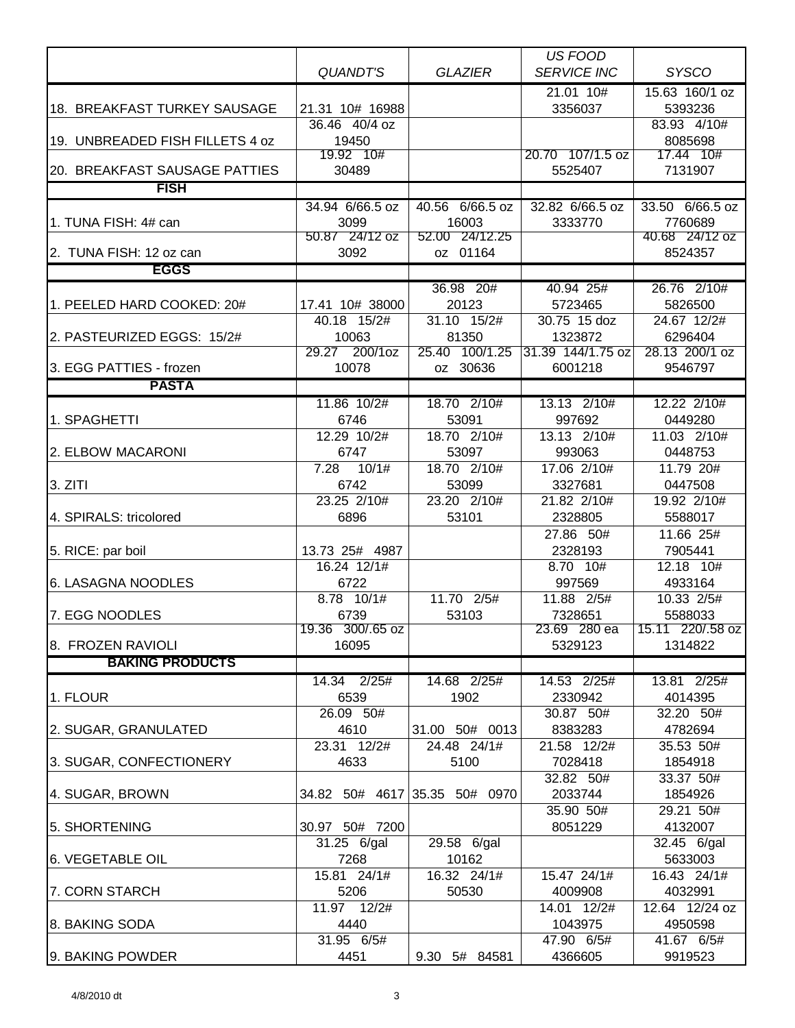|                                         |                          |                               | <b>US FOOD</b>          |                             |
|-----------------------------------------|--------------------------|-------------------------------|-------------------------|-----------------------------|
|                                         | <b>QUANDT'S</b>          | <b>GLAZIER</b>                | <b>SERVICE INC</b>      | <b>SYSCO</b>                |
|                                         |                          |                               | $21.01 \ \ 10#$         | 15.63 160/1 oz              |
| 18. BREAKFAST TURKEY SAUSAGE            | 21.31 10# 16988          |                               | 3356037                 | 5393236                     |
|                                         | 36.46 40/4 oz            |                               |                         | 83.93 4/10#                 |
| 19. UNBREADED FISH FILLETS 4 oz         | 19450<br>19.92 10#       |                               | 20.70 107/1.5 oz        | 8085698<br>17.44 10#        |
| 20. BREAKFAST SAUSAGE PATTIES           | 30489                    |                               | 5525407                 | 7131907                     |
| <b>FISH</b>                             |                          |                               |                         |                             |
|                                         | 34.94 6/66.5 oz          | 40.56 6/66.5 oz               | 32.82 6/66.5 oz         | 33.50 6/66.5 oz             |
| 1. TUNA FISH: 4# can                    | 3099                     | 16003                         | 3333770                 | 7760689                     |
|                                         | 50.87 24/12 oz           | 52.00 24/12.25                |                         | 40.68 24/12 oz              |
| 2. TUNA FISH: 12 oz can                 | 3092                     | oz 01164                      |                         | 8524357                     |
| <b>EGGS</b>                             |                          |                               |                         |                             |
|                                         |                          | 36.98 20#                     | 40.94 25#               | 26.76 2/10#                 |
| 1. PEELED HARD COOKED: 20#              | 17.41 10# 38000          | 20123                         | 5723465                 | 5826500                     |
|                                         | 40.18 15/2#              | 31.10 15/2#                   | 30.75 15 doz            | 24.67 12/2#                 |
| 2. PASTEURIZED EGGS: 15/2#              | 10063                    | 81350                         | 1323872                 | 6296404                     |
|                                         | 200/1oz<br>29.27         | 25.40 100/1.25                | 31.39 144/1.75 oz       | 28.13 200/1 oz              |
| 3. EGG PATTIES - frozen<br><b>PASTA</b> | 10078                    | oz 30636                      | 6001218                 | 9546797                     |
|                                         |                          |                               |                         |                             |
| 1. SPAGHETTI                            | 11.86 10/2#<br>6746      | 18.70 2/10#<br>53091          | 13.13 2/10#<br>997692   | 12.22 2/10#<br>0449280      |
|                                         | 12.29 10/2#              | 18.70 2/10#                   | 13.13 2/10#             | 11.03 2/10#                 |
| 2. ELBOW MACARONI                       | 6747                     | 53097                         | 993063                  | 0448753                     |
|                                         | 7.28<br>10/1#            | 18.70 2/10#                   | 17.06 2/10#             | 11.79 20#                   |
| 3. ZITI                                 | 6742                     | 53099                         | 3327681                 | 0447508                     |
|                                         | 23.25 2/10#              | 23.20 2/10#                   | 21.82 2/10#             | 19.92 2/10#                 |
| 4. SPIRALS: tricolored                  | 6896                     | 53101                         | 2328805                 | 5588017                     |
|                                         |                          |                               | 27.86 50#               | 11.66 25#                   |
| 5. RICE: par boil                       | 13.73 25# 4987           |                               | 2328193                 | 7905441                     |
|                                         | 16.24 12/1#              |                               | 8.70 10#                | 12.18 10#                   |
| 6. LASAGNA NOODLES                      | 6722                     |                               | 997569                  | 4933164                     |
|                                         | 8.78 10/1#               | 11.70 2/5#                    | 11.88 2/5#              | 10.33 2/5#                  |
| 7. EGG NOODLES                          | 6739<br>19.36 300/.65 oz | 53103                         | 7328651<br>23.69 280 ea | 5588033<br>15.11 220/.58 oz |
| 8. FROZEN RAVIOLI                       | 16095                    |                               | 5329123                 | 1314822                     |
| <b>BAKING PRODUCTS</b>                  |                          |                               |                         |                             |
|                                         | 14.34 2/25#              | 14.68 2/25#                   | 14.53 2/25#             | 13.81 2/25#                 |
| 1. FLOUR                                | 6539                     | 1902                          | 2330942                 | 4014395                     |
|                                         | 26.09 50#                |                               | 30.87 50#               | 32.20 50#                   |
| 2. SUGAR, GRANULATED                    | 4610                     | 31.00 50# 0013                | 8383283                 | 4782694                     |
|                                         | 23.31 12/2#              | 24.48 24/1#                   | 21.58 12/2#             | 35.53 50#                   |
| 3. SUGAR, CONFECTIONERY                 | 4633                     | 5100                          | 7028418                 | 1854918                     |
|                                         |                          |                               | 32.82 50#               | 33.37 50#                   |
| 4. SUGAR, BROWN                         |                          | 34.82 50# 4617 35.35 50# 0970 | 2033744                 | 1854926                     |
|                                         |                          |                               | 35.90 50#               | 29.21 50#                   |
| 5. SHORTENING                           | 30.97 50# 7200           |                               | 8051229                 | 4132007                     |
|                                         | 31.25 6/gal              | 29.58 6/gal                   |                         | 32.45 6/gal                 |
| 6. VEGETABLE OIL                        | 7268<br>15.81 24/1#      | 10162<br>16.32 24/1#          | 15.47 24/1#             | 5633003<br>16.43 24/1#      |
| 7. CORN STARCH                          | 5206                     | 50530                         | 4009908                 | 4032991                     |
|                                         | 11.97 12/2#              |                               | 14.01 12/2#             | 12.64 12/24 oz              |
| 8. BAKING SODA                          | 4440                     |                               | 1043975                 | 4950598                     |
|                                         | 31.95 6/5#               |                               | 47.90 6/5#              | 41.67 6/5#                  |
| 9. BAKING POWDER                        | 4451                     | 9.30 5# 84581                 | 4366605                 | 9919523                     |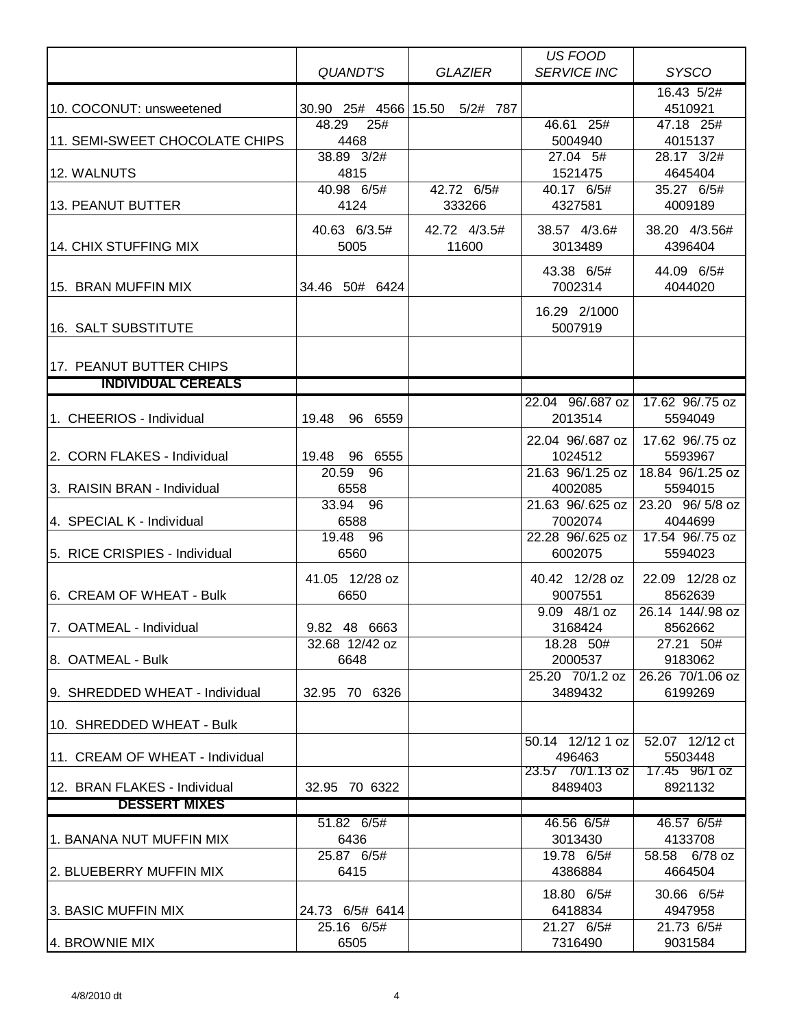|                                 |                    |                               | US FOOD                    |                             |
|---------------------------------|--------------------|-------------------------------|----------------------------|-----------------------------|
|                                 | QUANDT'S           | <b>GLAZIER</b>                | <b>SERVICE INC</b>         | <b>SYSCO</b>                |
|                                 |                    |                               |                            | 16.43 5/2#                  |
| 10. COCONUT: unsweetened        |                    | 30.90 25# 4566 15.50 5/2# 787 |                            | 4510921                     |
|                                 | 48.29<br>25#       |                               | 46.61 25#                  | 47.18 25#                   |
| 11. SEMI-SWEET CHOCOLATE CHIPS  | 4468               |                               | 5004940                    | 4015137                     |
|                                 | 38.89 3/2#         |                               | 27.04 5#                   | 28.17 3/2#                  |
| 12. WALNUTS                     | 4815               |                               | 1521475<br>40.17 6/5#      | 4645404                     |
| 13. PEANUT BUTTER               | 40.98 6/5#<br>4124 | 42.72 6/5#                    | 4327581                    | 35.27 6/5#<br>4009189       |
|                                 |                    | 333266                        |                            |                             |
|                                 | 40.63 6/3.5#       | 42.72 4/3.5#                  | 38.57 4/3.6#               | 38.20 4/3.56#               |
| 14. CHIX STUFFING MIX           | 5005               | 11600                         | 3013489                    | 4396404                     |
|                                 |                    |                               | 43.38 6/5#                 | 44.09 6/5#                  |
| 15. BRAN MUFFIN MIX             | 34.46 50# 6424     |                               | 7002314                    | 4044020                     |
|                                 |                    |                               |                            |                             |
|                                 |                    |                               | 16.29 2/1000               |                             |
| 16. SALT SUBSTITUTE             |                    |                               | 5007919                    |                             |
|                                 |                    |                               |                            |                             |
| 17. PEANUT BUTTER CHIPS         |                    |                               |                            |                             |
| <b>INDIVIDUAL CEREALS</b>       |                    |                               |                            |                             |
|                                 |                    |                               | 22.04 96/.687 oz           | 17.62 96/.75 oz             |
| 1. CHEERIOS - Individual        | 19.48<br>96 6559   |                               | 2013514                    | 5594049                     |
|                                 |                    |                               | 22.04 96/.687 oz           | 17.62 96/.75 oz             |
| 2. CORN FLAKES - Individual     | 19.48 96 6555      |                               | 1024512                    | 5593967                     |
|                                 | 20.59 96           |                               | 21.63 96/1.25 oz           | 18.84 96/1.25 oz            |
| 3. RAISIN BRAN - Individual     | 6558               |                               | 4002085                    | 5594015                     |
|                                 | 33.94 96           |                               | 21.63 96/.625 oz           | 23.20 96/5/8 oz             |
| 4. SPECIAL K - Individual       | 6588               |                               | 7002074                    | 4044699                     |
|                                 | 19.48 96           |                               | 22.28 96/.625 oz           | 17.54 96/.75 oz             |
| 5. RICE CRISPIES - Individual   | 6560               |                               | 6002075                    | 5594023                     |
|                                 | 41.05 12/28 oz     |                               | 40.42 12/28 oz             | 22.09 12/28 oz              |
| 6. CREAM OF WHEAT - Bulk        | 6650               |                               | 9007551                    | 8562639                     |
|                                 |                    |                               | 9.09 48/1 oz               | 26.14 144/.98 oz            |
| 7. OATMEAL - Individual         | 9.82 48 6663       |                               | 3168424                    | 8562662                     |
|                                 | 32.68 12/42 oz     |                               | 18.28 50#                  | 27.21 50#                   |
| 18. OATMEAL - Bulk              | 6648               |                               | 2000537                    | 9183062                     |
| 9. SHREDDED WHEAT - Individual  | 32.95 70 6326      |                               | 25.20 70/1.2 oz<br>3489432 | 26.26 70/1.06 oz<br>6199269 |
|                                 |                    |                               |                            |                             |
| 10. SHREDDED WHEAT - Bulk       |                    |                               |                            |                             |
|                                 |                    |                               | 50.14 12/12 1 oz           | 52.07 12/12 ct              |
| 11. CREAM OF WHEAT - Individual |                    |                               | 496463                     | 5503448                     |
|                                 |                    |                               | 23.57 70/1.13 oz           | 17.45 96/1 oz               |
| 12. BRAN FLAKES - Individual    | 32.95 70 6322      |                               | 8489403                    | 8921132                     |
| <b>DESSERT MIXES</b>            |                    |                               |                            |                             |
|                                 | 51.82 6/5#         |                               | 46.56 6/5#                 | 46.57 6/5#                  |
| 1. BANANA NUT MUFFIN MIX        | 6436               |                               | 3013430                    | 4133708                     |
|                                 | 25.87 6/5#         |                               | 19.78 6/5#                 | 58.58 6/78 oz               |
| 2. BLUEBERRY MUFFIN MIX         | 6415               |                               | 4386884                    | 4664504                     |
|                                 |                    |                               | 18.80 6/5#                 | 30.66 6/5#                  |
| <b>3. BASIC MUFFIN MIX</b>      | 24.73 6/5# 6414    |                               | 6418834                    | 4947958                     |
|                                 | 25.16 6/5#         |                               | 21.27 6/5#                 | 21.73 6/5#                  |
| 4. BROWNIE MIX                  | 6505               |                               | 7316490                    | 9031584                     |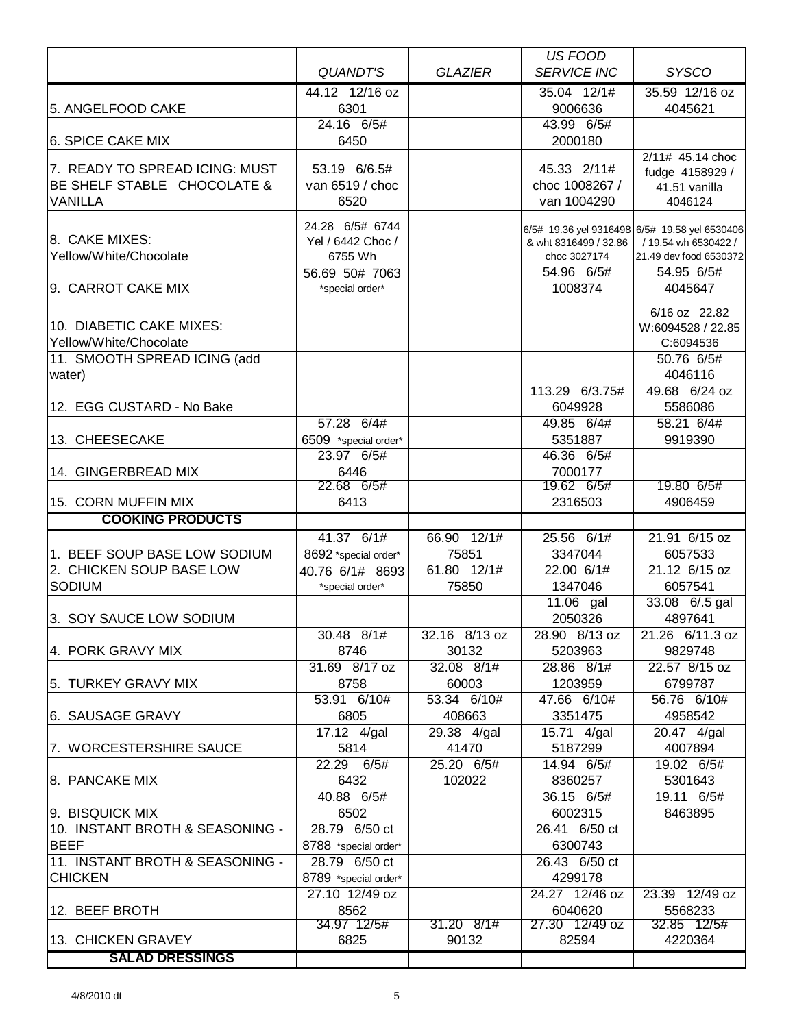|                                                               |                                    |                     | <b>US FOOD</b>                |                                               |
|---------------------------------------------------------------|------------------------------------|---------------------|-------------------------------|-----------------------------------------------|
|                                                               | <b>QUANDT'S</b>                    | <b>GLAZIER</b>      | <b>SERVICE INC</b>            | <b>SYSCO</b>                                  |
|                                                               | 44.12 12/16 oz                     |                     | 35.04 12/1#                   | 35.59 12/16 oz                                |
| 5. ANGELFOOD CAKE                                             | 6301                               |                     | 9006636                       | 4045621                                       |
|                                                               | 24.16 6/5#                         |                     | 43.99 6/5#                    |                                               |
| 6. SPICE CAKE MIX                                             | 6450                               |                     | 2000180                       |                                               |
|                                                               |                                    |                     |                               | 2/11# 45.14 choc                              |
| 7. READY TO SPREAD ICING: MUST<br>BE SHELF STABLE CHOCOLATE & | 53.19 6/6.5#                       |                     | 45.33 2/11#                   | fudge 4158929 /                               |
|                                                               | van 6519 / choc                    |                     | choc 1008267 /<br>van 1004290 | 41.51 vanilla                                 |
| <b>VANILLA</b>                                                | 6520                               |                     |                               | 4046124                                       |
|                                                               | 24.28 6/5# 6744                    |                     |                               | 6/5# 19.36 yel 9316498 6/5# 19.58 yel 6530406 |
| 8. CAKE MIXES:                                                | Yel / 6442 Choc /                  |                     | & wht 8316499 / 32.86         | / 19.54 wh 6530422 /                          |
| Yellow/White/Chocolate                                        | 6755 Wh                            |                     | choc 3027174                  | 21.49 dev food 6530372                        |
|                                                               | 56.69 50# 7063                     |                     | 54.96 6/5#                    | 54.95 6/5#                                    |
| 9. CARROT CAKE MIX                                            | *special order*                    |                     | 1008374                       | 4045647                                       |
|                                                               |                                    |                     |                               | 6/16 oz 22.82                                 |
| 10. DIABETIC CAKE MIXES:                                      |                                    |                     |                               | W:6094528 / 22.85                             |
| Yellow/White/Chocolate                                        |                                    |                     |                               | C:6094536                                     |
| 11. SMOOTH SPREAD ICING (add                                  |                                    |                     |                               | 50.76 6/5#                                    |
| water)                                                        |                                    |                     |                               | 4046116                                       |
|                                                               |                                    |                     | 113.29 6/3.75#                | 49.68 6/24 oz                                 |
| 12. EGG CUSTARD - No Bake                                     |                                    |                     | 6049928                       | 5586086                                       |
|                                                               | 57.28 6/4#                         |                     | 49.85 6/4#                    | 58.21 6/4#                                    |
| 13. CHEESECAKE                                                | 6509 *special order*<br>23.97 6/5# |                     | 5351887<br>46.36 6/5#         | 9919390                                       |
| 14. GINGERBREAD MIX                                           | 6446                               |                     | 7000177                       |                                               |
|                                                               | 22.68 6/5#                         |                     | 19.62 6/5#                    | 19.80 6/5#                                    |
| 15. CORN MUFFIN MIX                                           | 6413                               |                     | 2316503                       | 4906459                                       |
| <b>COOKING PRODUCTS</b>                                       |                                    |                     |                               |                                               |
|                                                               | 41.37 6/1#                         | 66.90 12/1#         | 25.56 6/1#                    | 21.91 6/15 oz                                 |
| 1. BEEF SOUP BASE LOW SODIUM                                  | 8692 *special order*               | 75851               | 3347044                       | 6057533                                       |
| 2. CHICKEN SOUP BASE LOW                                      | 40.76 6/1# 8693                    | 61.80 12/1#         | 22.00 6/1#                    | 21.12 6/15 oz                                 |
| <b>SODIUM</b>                                                 | *special order*                    | 75850               | 1347046                       | 6057541                                       |
|                                                               |                                    |                     | 11.06 gal                     | 33.08 6/.5 gal                                |
| 3. SOY SAUCE LOW SODIUM                                       |                                    |                     | 2050326                       | 4897641                                       |
|                                                               | 30.48 8/1#                         | 32.16 8/13 oz       | 28.90 8/13 oz                 | 21.26 6/11.3 oz                               |
| 4. PORK GRAVY MIX                                             | 8746                               | 30132               | 5203963                       | 9829748                                       |
|                                                               | 31.69 8/17 oz                      | 32.08 8/1#          | 28.86 8/1#                    | 22.57 8/15 oz                                 |
| 5. TURKEY GRAVY MIX                                           | 8758                               | 60003               | 1203959                       | 6799787                                       |
|                                                               | 53.91 6/10#                        | 53.34 6/10#         | 47.66 6/10#                   | 56.76 6/10#                                   |
| 6. SAUSAGE GRAVY                                              | 6805                               | 408663              | 3351475                       | 4958542                                       |
| 7. WORCESTERSHIRE SAUCE                                       | 17.12 4/gal<br>5814                | 29.38 4/gal         | 15.71 4/gal                   | 20.47 4/gal                                   |
|                                                               | 22.29 6/5#                         | 41470<br>25.20 6/5# | 5187299<br>14.94 6/5#         | 4007894<br>19.02 6/5#                         |
| 8. PANCAKE MIX                                                | 6432                               | 102022              | 8360257                       | 5301643                                       |
|                                                               | 40.88 6/5#                         |                     | 36.15 6/5#                    | 19.11 6/5#                                    |
| 9. BISQUICK MIX                                               | 6502                               |                     | 6002315                       | 8463895                                       |
| 10. INSTANT BROTH & SEASONING -                               | 28.79 6/50 ct                      |                     | 26.41 6/50 ct                 |                                               |
| <b>BEEF</b>                                                   | 8788 *special order*               |                     | 6300743                       |                                               |
| 11. INSTANT BROTH & SEASONING -                               | 28.79 6/50 ct                      |                     | 26.43 6/50 ct                 |                                               |
| <b>CHICKEN</b>                                                | 8789 *special order*               |                     | 4299178                       |                                               |
|                                                               | 27.10 12/49 oz                     |                     | 24.27 12/46 oz                | 23.39 12/49 oz                                |
| 12. BEEF BROTH                                                | 8562                               |                     | 6040620                       | 5568233                                       |
|                                                               | 34.97 12/5#                        | 31.20 8/1#          | 27.30 12/49 oz                | 32.85 12/5#                                   |
| 13. CHICKEN GRAVEY                                            | 6825                               | 90132               | 82594                         | 4220364                                       |
| <b>SALAD DRESSINGS</b>                                        |                                    |                     |                               |                                               |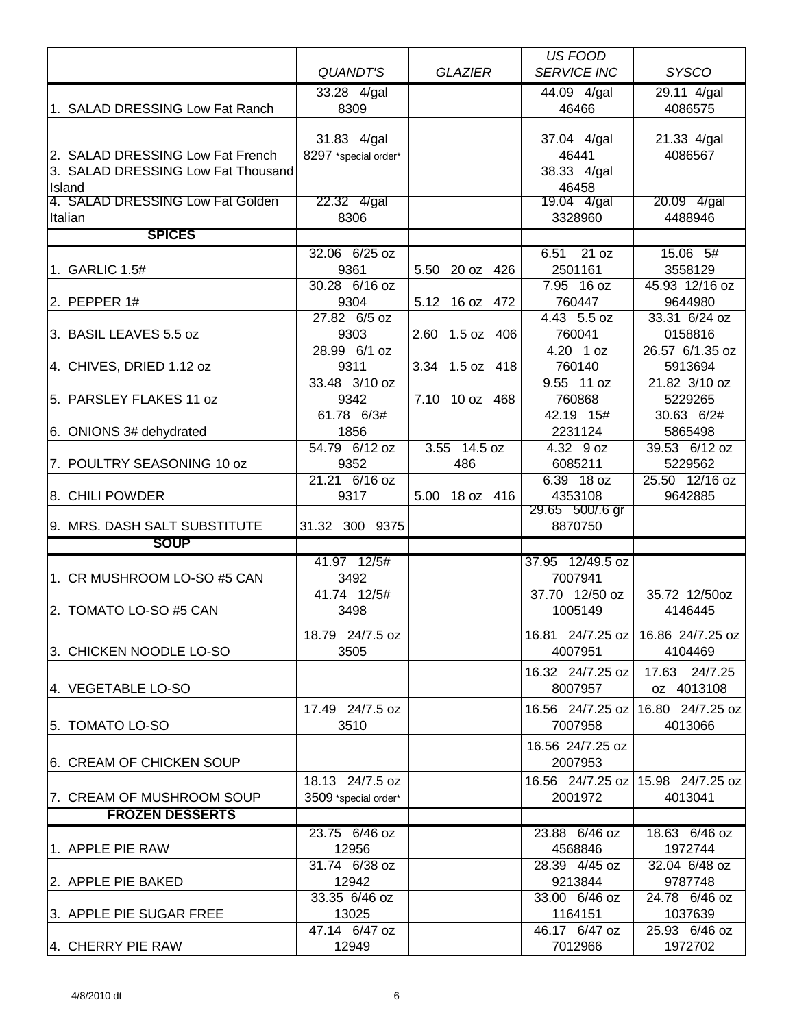|                                            |                      |                 | <b>US FOOD</b>             |                                     |
|--------------------------------------------|----------------------|-----------------|----------------------------|-------------------------------------|
|                                            | <b>QUANDT'S</b>      | <b>GLAZIER</b>  | <b>SERVICE INC</b>         | <b>SYSCO</b>                        |
|                                            | 33.28 4/gal          |                 | 44.09 4/gal                | 29.11 4/gal                         |
| 1. SALAD DRESSING Low Fat Ranch            | 8309                 |                 | 46466                      | 4086575                             |
|                                            |                      |                 |                            |                                     |
|                                            | 31.83 4/gal          |                 | 37.04 4/gal                | 21.33 4/gal                         |
| 2. SALAD DRESSING Low Fat French           | 8297 *special order* |                 | 46441                      | 4086567                             |
| 3. SALAD DRESSING Low Fat Thousand         |                      |                 | 38.33 4/gal                |                                     |
| Island<br>4. SALAD DRESSING Low Fat Golden | 22.32 4/gal          |                 | 46458<br>19.04 4/gal       |                                     |
| Italian                                    | 8306                 |                 | 3328960                    | 20.09 4/gal<br>4488946              |
| <b>SPICES</b>                              |                      |                 |                            |                                     |
|                                            | 32.06 6/25 oz        |                 | 21 oz<br>6.51              | 15.06 5#                            |
| 1. GARLIC 1.5#                             | 9361                 | 5.50 20 oz 426  | 2501161                    | 3558129                             |
|                                            | 30.28 6/16 oz        |                 | 7.95 16 oz                 | 45.93 12/16 oz                      |
| 2. PEPPER 1#                               | 9304                 | 5.12 16 oz 472  | 760447                     | 9644980                             |
|                                            | 27.82 6/5 oz         |                 | $4.43$ 5.5 oz              | 33.31 6/24 oz                       |
| 3. BASIL LEAVES 5.5 oz                     | 9303                 | 2.60 1.5 oz 406 | 760041                     | 0158816                             |
|                                            | 28.99 6/1 oz         |                 | $4.20$ 1 oz                | 26.57 6/1.35 oz                     |
| 4. CHIVES, DRIED 1.12 oz                   | 9311                 | 3.34 1.5 oz 418 | 760140                     | 5913694                             |
|                                            | 33.48 3/10 oz        |                 | 9.55 11 oz                 | 21.82 3/10 oz                       |
| 5. PARSLEY FLAKES 11 oz                    | 9342                 | 7.10 10 oz 468  | 760868                     | 5229265                             |
|                                            | 61.78 6/3#           |                 | 42.19 15#                  | 30.63 6/2#                          |
| 6. ONIONS 3# dehydrated                    | 1856                 |                 | 2231124                    | 5865498                             |
|                                            | 54.79 6/12 oz        | 3.55 14.5 oz    | 4.32 9 oz                  | 39.53 6/12 oz                       |
| 7. POULTRY SEASONING 10 oz                 | 9352                 | 486             | 6085211                    | 5229562                             |
|                                            | 21.21 6/16 oz        |                 | 6.39 18 oz                 | 25.50 12/16 oz                      |
| 8. CHILI POWDER                            | 9317                 | 5.00 18 oz 416  | 4353108<br>29.65 500/.6 gr | 9642885                             |
| 9. MRS. DASH SALT SUBSTITUTE               | 31.32 300 9375       |                 | 8870750                    |                                     |
| <b>SOUP</b>                                |                      |                 |                            |                                     |
|                                            | 41.97 12/5#          |                 | 37.95 12/49.5 oz           |                                     |
| 1. CR MUSHROOM LO-SO #5 CAN                | 3492                 |                 | 7007941                    |                                     |
|                                            | 41.74 12/5#          |                 | 37.70 12/50 oz             | 35.72 12/50oz                       |
| 2. TOMATO LO-SO #5 CAN                     | 3498                 |                 | 1005149                    | 4146445                             |
|                                            |                      |                 |                            |                                     |
|                                            | 18.79 24/7.5 oz      |                 | 16.81 24/7.25 oz           | 16.86 24/7.25 oz                    |
| 3. CHICKEN NOODLE LO-SO                    | 3505                 |                 | 4007951                    | 4104469                             |
|                                            |                      |                 | 16.32 24/7.25 oz           | 17.63 24/7.25                       |
| 4. VEGETABLE LO-SO                         |                      |                 | 8007957                    | oz 4013108                          |
|                                            | 17.49 24/7.5 oz      |                 | 16.56 24/7.25 oz           | 16.80 24/7.25 oz                    |
| 5. TOMATO LO-SO                            | 3510                 |                 | 7007958                    | 4013066                             |
|                                            |                      |                 | 16.56 24/7.25 oz           |                                     |
| 6. CREAM OF CHICKEN SOUP                   |                      |                 | 2007953                    |                                     |
|                                            | 18.13 24/7.5 oz      |                 |                            | 16.56 24/7.25 oz   15.98 24/7.25 oz |
| 7. CREAM OF MUSHROOM SOUP                  | 3509 *special order* |                 | 2001972                    | 4013041                             |
| <b>FROZEN DESSERTS</b>                     |                      |                 |                            |                                     |
|                                            | 23.75 6/46 oz        |                 | 23.88 6/46 oz              | 18.63 6/46 oz                       |
| 1. APPLE PIE RAW                           | 12956                |                 | 4568846                    | 1972744                             |
|                                            | 31.74 6/38 oz        |                 | 28.39 4/45 oz              | 32.04 6/48 oz                       |
| 2. APPLE PIE BAKED                         | 12942                |                 | 9213844                    | 9787748                             |
|                                            | $33.35$ 6/46 oz      |                 | 33.00 6/46 oz              | 24.78 6/46 oz                       |
| 3. APPLE PIE SUGAR FREE                    | 13025                |                 | 1164151                    | 1037639                             |
|                                            | 47.14 6/47 oz        |                 | 46.17 6/47 oz              | 25.93 6/46 oz                       |
| 4. CHERRY PIE RAW                          | 12949                |                 | 7012966                    | 1972702                             |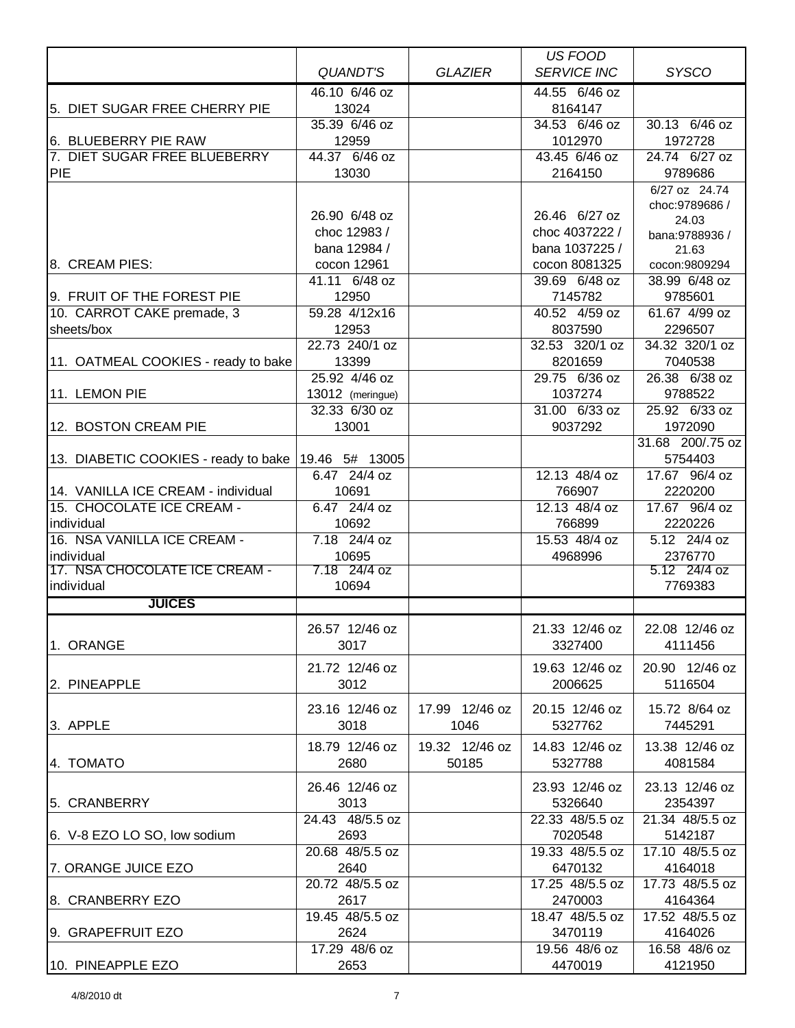|                                             |                       |                | US FOOD            |                         |
|---------------------------------------------|-----------------------|----------------|--------------------|-------------------------|
|                                             | <b>QUANDT'S</b>       | <b>GLAZIER</b> | <b>SERVICE INC</b> | <b>SYSCO</b>            |
|                                             | 46.10 6/46 oz         |                | 44.55 6/46 oz      |                         |
| 5. DIET SUGAR FREE CHERRY PIE               | 13024                 |                | 8164147            |                         |
|                                             | 35.39 6/46 oz         |                | 34.53 6/46 oz      | 30.13 6/46 oz           |
| 6. BLUEBERRY PIE RAW                        | 12959                 |                | 1012970            | 1972728                 |
| 7. DIET SUGAR FREE BLUEBERRY                | 44.37 6/46 oz         |                | 43.45 6/46 oz      | 24.74 6/27 oz           |
| <b>PIE</b>                                  | 13030                 |                | 2164150            | 9789686                 |
|                                             |                       |                |                    | 6/27 oz 24.74           |
|                                             | 26.90 6/48 oz         |                | 26.46 6/27 oz      | choc: 9789686 /         |
|                                             | choc 12983 /          |                | choc 4037222 /     | 24.03                   |
|                                             | bana 12984 /          |                | bana 1037225 /     | bana:9788936 /<br>21.63 |
| 8. CREAM PIES:                              | cocon 12961           |                | cocon 8081325      | cocon:9809294           |
|                                             | 41.11 6/48 oz         |                | 39.69 6/48 oz      | 38.99 6/48 oz           |
| 9. FRUIT OF THE FOREST PIE                  | 12950                 |                | 7145782            | 9785601                 |
| 10. CARROT CAKE premade, 3                  | 59.28 4/12x16         |                | 40.52 4/59 oz      | 61.67 4/99 oz           |
| sheets/box                                  | 12953                 |                | 8037590            | 2296507                 |
|                                             | 22.73 240/1 oz        |                | 32.53 320/1 oz     | 34.32 320/1 oz          |
| 11. OATMEAL COOKIES - ready to bake         | 13399                 |                | 8201659            | 7040538                 |
|                                             | 25.92 4/46 oz         |                | 29.75 6/36 oz      | 26.38 6/38 oz           |
| 11. LEMON PIE                               | 13012 (meringue)      |                | 1037274            | 9788522                 |
|                                             | 32.33 6/30 oz         |                | 31.00 6/33 oz      | 25.92 6/33 oz           |
| 12. BOSTON CREAM PIE                        | 13001                 |                | 9037292            | 1972090                 |
|                                             |                       |                |                    | 31.68 200/.75 oz        |
| 13. DIABETIC COOKIES - ready to bake        | 19.46 5# 13005        |                |                    | 5754403                 |
|                                             | 6.47 24/4 oz          |                | 12.13 48/4 oz      | 17.67 96/4 oz           |
| 14. VANILLA ICE CREAM - individual          | 10691                 |                | 766907             | 2220200                 |
| 15. CHOCOLATE ICE CREAM -                   | 6.47 24/4 oz          |                | 12.13 48/4 oz      | 17.67 96/4 oz           |
| individual                                  | 10692                 |                | 766899             | 2220226                 |
| 16. NSA VANILLA ICE CREAM -                 | 7.18 24/4 oz          |                | 15.53 48/4 oz      | 5.12 24/4 oz            |
| individual<br>17. NSA CHOCOLATE ICE CREAM - | 10695<br>7.18 24/4 oz |                | 4968996            | 2376770<br>5.12 24/4 oz |
| individual                                  | 10694                 |                |                    | 7769383                 |
| <b>JUICES</b>                               |                       |                |                    |                         |
|                                             |                       |                |                    |                         |
|                                             | 26.57 12/46 oz        |                | 21.33 12/46 oz     | 22.08 12/46 oz          |
| 1. ORANGE                                   | 3017                  |                | 3327400            | 4111456                 |
|                                             | 21.72 12/46 oz        |                | 19.63 12/46 oz     | 20.90 12/46 oz          |
| 2. PINEAPPLE                                | 3012                  |                | 2006625            | 5116504                 |
|                                             |                       |                |                    |                         |
|                                             | 23.16 12/46 oz        | 17.99 12/46 oz | 20.15 12/46 oz     | 15.72 8/64 oz           |
| 3. APPLE                                    | 3018                  | 1046           | 5327762            | 7445291                 |
|                                             | 18.79 12/46 oz        | 19.32 12/46 oz | 14.83 12/46 oz     | 13.38 12/46 oz          |
| 4. TOMATO                                   | 2680                  | 50185          | 5327788            | 4081584                 |
|                                             | 26.46 12/46 oz        |                | 23.93 12/46 oz     | 23.13 12/46 oz          |
| 5. CRANBERRY                                | 3013                  |                | 5326640            | 2354397                 |
|                                             | 24.43 48/5.5 oz       |                | 22.33 48/5.5 oz    | 21.34 48/5.5 oz         |
| 6. V-8 EZO LO SO, low sodium                | 2693                  |                | 7020548            | 5142187                 |
|                                             | 20.68 48/5.5 oz       |                | 19.33 48/5.5 oz    | 17.10 48/5.5 oz         |
| 7. ORANGE JUICE EZO                         | 2640                  |                | 6470132            | 4164018                 |
|                                             | 20.72 48/5.5 oz       |                | 17.25 48/5.5 oz    | 17.73 48/5.5 oz         |
| 8. CRANBERRY EZO                            | 2617                  |                | 2470003            | 4164364                 |
|                                             | 19.45 48/5.5 oz       |                | 18.47 48/5.5 oz    | 17.52 48/5.5 oz         |
| 9. GRAPEFRUIT EZO                           | 2624                  |                | 3470119            | 4164026                 |
|                                             | 17.29 48/6 oz         |                | 19.56 48/6 oz      | 16.58 48/6 oz           |
| 10. PINEAPPLE EZO                           | 2653                  |                | 4470019            | 4121950                 |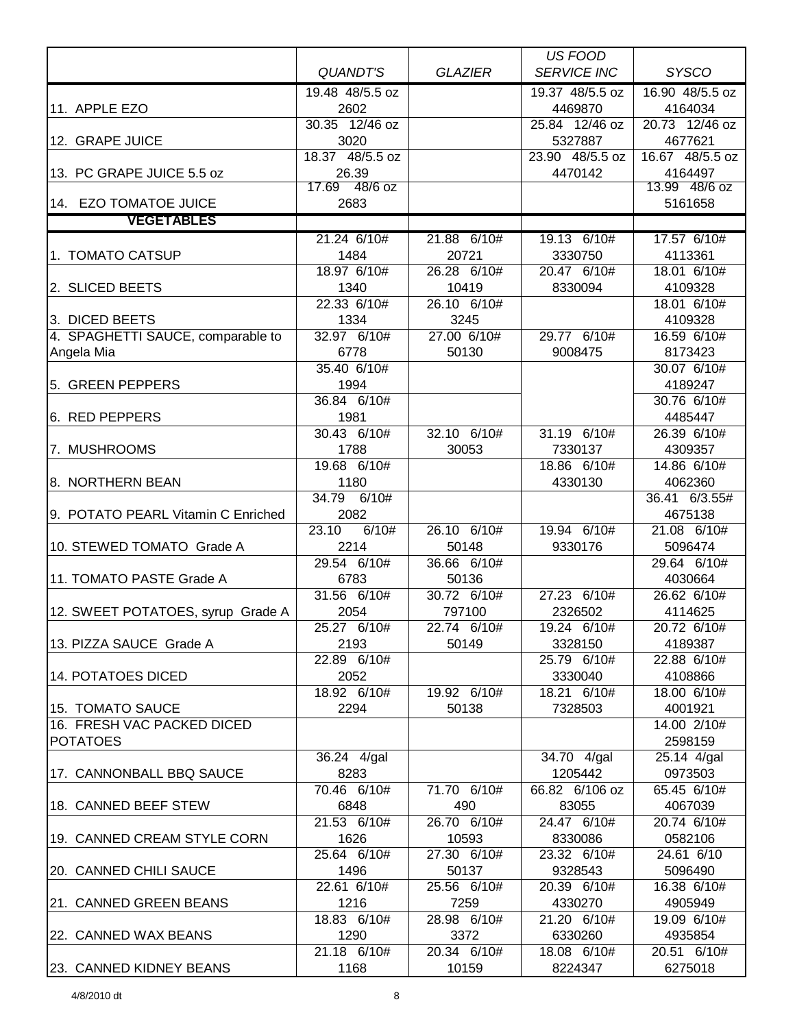|                                    |                          |                      | <b>US FOOD</b>            |                        |
|------------------------------------|--------------------------|----------------------|---------------------------|------------------------|
|                                    | <b>QUANDT'S</b>          | <b>GLAZIER</b>       | <b>SERVICE INC</b>        | <b>SYSCO</b>           |
|                                    | 19.48 48/5.5 oz          |                      | 19.37 48/5.5 oz           | 16.90 48/5.5 oz        |
| 11. APPLE EZO                      | 2602                     |                      | 4469870                   | 4164034                |
|                                    | 30.35 12/46 oz           |                      | 25.84 12/46 oz            | 20.73 12/46 oz         |
| 12. GRAPE JUICE                    | 3020                     |                      | 5327887                   | 4677621                |
|                                    | 18.37 48/5.5 oz          |                      | 23.90 48/5.5 oz           | 16.67 48/5.5 oz        |
| 13. PC GRAPE JUICE 5.5 oz          | 26.39                    |                      | 4470142                   | 4164497                |
|                                    | 17.69 48/6 oz            |                      |                           | 13.99 48/6 oz          |
| 14. EZO TOMATOE JUICE              | 2683                     |                      |                           | 5161658                |
| <b>VEGETABLES</b>                  |                          |                      |                           |                        |
|                                    | 21.24 6/10#              | 21.88 6/10#          | 19.13 6/10#               | 17.57 6/10#            |
| 1. TOMATO CATSUP                   | 1484                     | 20721                | 3330750                   | 4113361                |
|                                    | 18.97 6/10#              | 26.28 6/10#          | 20.47 6/10#               | 18.01 6/10#            |
| 2. SLICED BEETS                    | 1340                     | 10419                | 8330094                   | 4109328                |
|                                    | 22.33 6/10#              | 26.10 6/10#          |                           | 18.01 6/10#            |
| 3. DICED BEETS                     | 1334                     | 3245                 |                           | 4109328                |
| 4. SPAGHETTI SAUCE, comparable to  | 32.97 6/10#              | 27.00 6/10#          | 29.77 6/10#               | 16.59 6/10#            |
| Angela Mia                         | 6778                     | 50130                | 9008475                   | 8173423                |
|                                    | 35.40 6/10#              |                      |                           | 30.07 6/10#            |
| 5. GREEN PEPPERS                   | 1994                     |                      |                           | 4189247                |
|                                    | 36.84 6/10#              |                      |                           | 30.76 6/10#            |
| 6. RED PEPPERS                     | 1981                     |                      |                           | 4485447                |
|                                    | $\overline{30.43}$ 6/10# | 32.10 6/10#          | 31.19 6/10#               | 26.39 6/10#            |
| 7. MUSHROOMS                       | 1788                     | 30053                | 7330137                   | 4309357                |
|                                    | 19.68 6/10#              |                      | 18.86 6/10#               | 14.86 6/10#            |
| 8. NORTHERN BEAN                   | 1180                     |                      | 4330130                   | 4062360                |
|                                    | 34.79<br>6/10#           |                      |                           | 36.41 6/3.55#          |
| 9. POTATO PEARL Vitamin C Enriched | 2082                     |                      |                           | 4675138                |
|                                    | 23.10<br>6/10#           | 26.10 6/10#          | 19.94 6/10#               | 21.08 6/10#            |
| 10. STEWED TOMATO Grade A          | 2214                     | 50148                | 9330176                   | 5096474                |
|                                    | 29.54 6/10#              | 36.66 6/10#          |                           | 29.64 6/10#            |
| 11. TOMATO PASTE Grade A           | 6783                     | 50136                |                           | 4030664                |
|                                    | 31.56 6/10#              | 30.72 6/10#          | 27.23 6/10#               | 26.62 6/10#            |
| 12. SWEET POTATOES, syrup Grade A  | 2054                     | 797100               | 2326502                   | 4114625                |
|                                    | 25.27 6/10#              | 22.74 6/10#          | 19.24 6/10#               | 20.72 6/10#            |
| 13. PIZZA SAUCE Grade A            | 2193                     | 50149                | 3328150                   | 4189387                |
|                                    | 22.89 6/10#              |                      | 25.79 6/10#               | 22.88 6/10#            |
| 14. POTATOES DICED                 | 2052                     |                      | 3330040                   | 4108866                |
|                                    | 18.92 6/10#              | 19.92 6/10#          | 18.21 6/10#               | 18.00 6/10#            |
| 15. TOMATO SAUCE                   | 2294                     | 50138                | 7328503                   | 4001921                |
| 16. FRESH VAC PACKED DICED         |                          |                      |                           | 14.00 2/10#            |
| <b>POTATOES</b>                    |                          |                      |                           | 2598159                |
|                                    | 36.24 4/gal              |                      | 34.70 4/gal               | 25.14 4/gal            |
| 17. CANNONBALL BBQ SAUCE           | 8283                     |                      | 1205442<br>66.82 6/106 oz | 0973503<br>65.45 6/10# |
| 18. CANNED BEEF STEW               | 70.46 6/10#<br>6848      | 71.70 6/10#<br>490   | 83055                     | 4067039                |
|                                    | 21.53 6/10#              | 26.70 6/10#          |                           | 20.74 6/10#            |
|                                    |                          |                      | 24.47 6/10#               |                        |
| 19. CANNED CREAM STYLE CORN        | 1626<br>25.64 6/10#      | 10593<br>27.30 6/10# | 8330086<br>23.32 6/10#    | 0582106<br>24.61 6/10  |
|                                    |                          |                      |                           |                        |
| 20. CANNED CHILI SAUCE             | 1496                     | 50137                | 9328543                   | 5096490                |
|                                    | 22.61 6/10#<br>1216      | 25.56 6/10#<br>7259  | 20.39 6/10#<br>4330270    | 16.38 6/10#<br>4905949 |
| 21. CANNED GREEN BEANS             | 18.83 6/10#              | 28.98 6/10#          |                           |                        |
|                                    |                          |                      | 21.20 6/10#               | 19.09 6/10#            |
| 22. CANNED WAX BEANS               | 1290<br>21.18 6/10#      | 3372<br>20.34 6/10#  | 6330260<br>18.08 6/10#    | 4935854<br>20.51 6/10# |
|                                    |                          |                      |                           |                        |
| 23. CANNED KIDNEY BEANS            | 1168                     | 10159                | 8224347                   | 6275018                |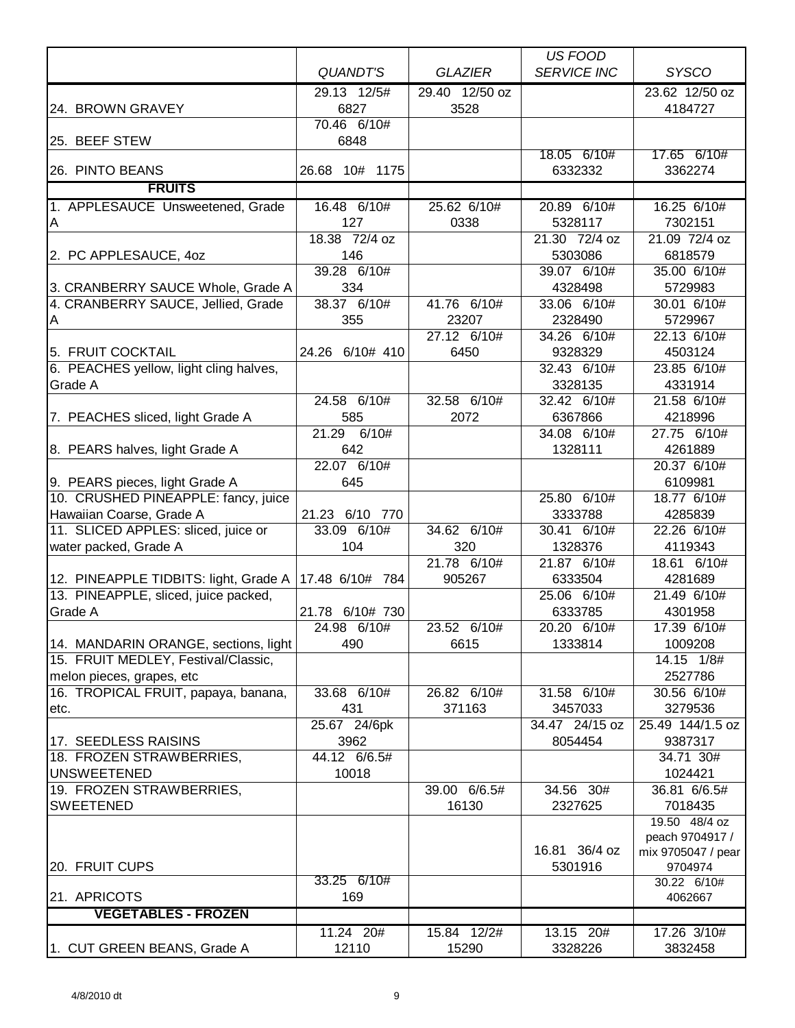|                                        |                          |                | US FOOD                   |                             |
|----------------------------------------|--------------------------|----------------|---------------------------|-----------------------------|
|                                        | <b>QUANDT'S</b>          | <b>GLAZIER</b> | <b>SERVICE INC</b>        | <b>SYSCO</b>                |
|                                        | 29.13 12/5#              | 29.40 12/50 oz |                           | 23.62 12/50 oz              |
| 24. BROWN GRAVEY                       | 6827                     | 3528           |                           | 4184727                     |
|                                        | 70.46 6/10#              |                |                           |                             |
| 25. BEEF STEW                          | 6848                     |                |                           |                             |
|                                        |                          |                | 18.05 6/10#               | 17.65 6/10#                 |
| 26. PINTO BEANS                        | 26.68 10# 1175           |                | 6332332                   | 3362274                     |
| <b>FRUITS</b>                          |                          |                |                           |                             |
| 1. APPLESAUCE Unsweetened, Grade       | 16.48 6/10#              | 25.62 6/10#    | 20.89 6/10#               | $16.25$ 6/10#               |
| Α                                      | 127                      | 0338           | 5328117                   | 7302151                     |
|                                        | 18.38 72/4 oz            |                | 21.30 72/4 oz             | 21.09 72/4 oz               |
| 2. PC APPLESAUCE, 4oz                  | 146                      |                | 5303086                   | 6818579                     |
|                                        | 39.28 6/10#              |                | 39.07 6/10#               | 35.00 6/10#                 |
| 3. CRANBERRY SAUCE Whole, Grade A      | 334                      | 41.76 6/10#    | 4328498                   | 5729983                     |
| 4. CRANBERRY SAUCE, Jellied, Grade     | 38.37 6/10#              | 23207          | 33.06 6/10#<br>2328490    | 30.01 6/10#<br>5729967      |
| Α                                      | 355                      | 27.12 6/10#    | 34.26 6/10#               | 22.13 6/10#                 |
| 5. FRUIT COCKTAIL                      | 24.26 6/10# 410          | 6450           | 9328329                   | 4503124                     |
| 6. PEACHES yellow, light cling halves, |                          |                | 32.43 6/10#               | 23.85 6/10#                 |
| Grade A                                |                          |                | 3328135                   | 4331914                     |
|                                        | 24.58 6/10#              | 32.58 6/10#    | 32.42 6/10#               | 21.58 6/10#                 |
| 7. PEACHES sliced, light Grade A       | 585                      | 2072           | 6367866                   | 4218996                     |
|                                        | 21.29 6/10#              |                | 34.08 6/10#               | 27.75 6/10#                 |
| 8. PEARS halves, light Grade A         | 642                      |                | 1328111                   | 4261889                     |
|                                        | $22.\overline{07}$ 6/10# |                |                           | 20.37 6/10#                 |
| 9. PEARS pieces, light Grade A         | 645                      |                |                           | 6109981                     |
| 10. CRUSHED PINEAPPLE: fancy, juice    |                          |                | 25.80 6/10#               | 18.77 6/10#                 |
| Hawaiian Coarse, Grade A               | 21.23 6/10 770           |                | 3333788                   | 4285839                     |
| 11. SLICED APPLES: sliced, juice or    | 33.09 6/10#              | 34.62 6/10#    | 30.41 6/10#               | 22.26 6/10#                 |
| water packed, Grade A                  | 104                      | 320            | 1328376                   | 4119343                     |
|                                        |                          | 21.78 6/10#    | 21.87 6/10#               | 18.61 6/10#                 |
| 12. PINEAPPLE TIDBITS: light, Grade A  | 17.48 6/10# 784          | 905267         | 6333504                   | 4281689                     |
| 13. PINEAPPLE, sliced, juice packed,   |                          |                | 25.06 6/10#               | 21.49 6/10#                 |
| Grade A                                | 21.78 6/10# 730          |                | 6333785                   | 4301958                     |
|                                        | 24.98 6/10#              | 23.52<br>6/10# | 20.20 6/10#               | 17.39 6/10#                 |
| 14. MANDARIN ORANGE, sections, light   | 490                      | 6615           | 1333814                   | 1009208                     |
| 15. FRUIT MEDLEY, Festival/Classic,    |                          |                |                           | 14.15 1/8#                  |
| melon pieces, grapes, etc              |                          |                |                           | 2527786                     |
| 16. TROPICAL FRUIT, papaya, banana,    | 33.68 6/10#              | 26.82 6/10#    | 31.58 6/10#               | 30.56 6/10#                 |
| etc.                                   | 431<br>25.67 24/6pk      | 371163         | 3457033<br>34.47 24/15 oz | 3279536<br>25.49 144/1.5 oz |
| 17. SEEDLESS RAISINS                   | 3962                     |                | 8054454                   | 9387317                     |
| 18. FROZEN STRAWBERRIES,               | 44.12 6/6.5#             |                |                           | 34.71 30#                   |
| <b>UNSWEETENED</b>                     | 10018                    |                |                           | 1024421                     |
| 19. FROZEN STRAWBERRIES,               |                          | 39.00 6/6.5#   | 34.56 30#                 | 36.81 6/6.5#                |
| <b>SWEETENED</b>                       |                          | 16130          | 2327625                   | 7018435                     |
|                                        |                          |                |                           | 19.50 48/4 oz               |
|                                        |                          |                |                           | peach 9704917 /             |
|                                        |                          |                | 16.81 36/4 oz             | mix 9705047 / pear          |
| 20. FRUIT CUPS                         |                          |                | 5301916                   | 9704974                     |
|                                        | 33.25 6/10#              |                |                           | 30.22 6/10#                 |
| 21. APRICOTS                           | 169                      |                |                           | 4062667                     |
| <b>VEGETABLES - FROZEN</b>             |                          |                |                           |                             |
|                                        | 11.24 20#                | 15.84 12/2#    | 13.15 20#                 | 17.26 3/10#                 |
| 1. CUT GREEN BEANS, Grade A            | 12110                    | 15290          | 3328226                   | 3832458                     |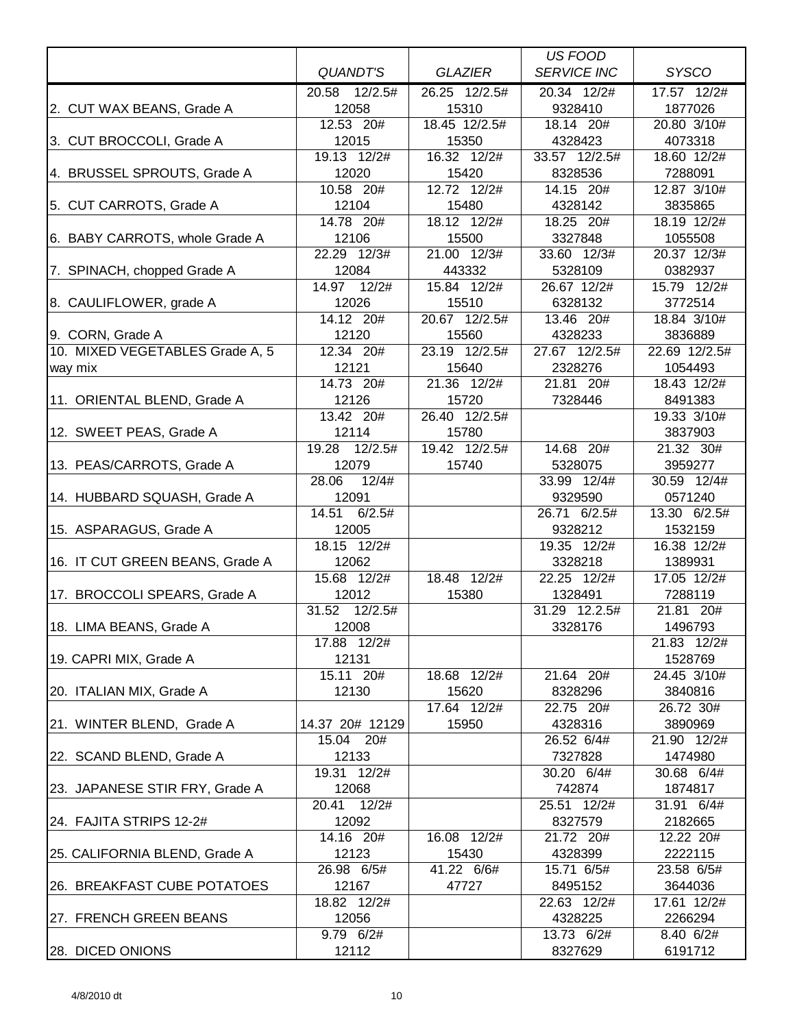|                                 |                      |                      | US FOOD                |                        |
|---------------------------------|----------------------|----------------------|------------------------|------------------------|
|                                 | <b>QUANDT'S</b>      | <b>GLAZIER</b>       | <b>SERVICE INC</b>     | <b>SYSCO</b>           |
|                                 | 20.58 12/2.5#        | 26.25 12/2.5#        | 20.34 12/2#            | 17.57 12/2#            |
| 2. CUT WAX BEANS, Grade A       | 12058                | 15310                | 9328410                | 1877026                |
|                                 | 12.53 20#            | 18.45 12/2.5#        | 18.14 20#              | 20.80 3/10#            |
| 3. CUT BROCCOLI, Grade A        | 12015                | 15350                | 4328423                | 4073318                |
|                                 | 19.13 12/2#          | 16.32 12/2#          | 33.57 12/2.5#          | 18.60 12/2#            |
| 4. BRUSSEL SPROUTS, Grade A     | 12020                | 15420                | 8328536                | 7288091                |
|                                 | 10.58 20#            | 12.72 12/2#          | 14.15 20#              | 12.87 3/10#            |
| 5. CUT CARROTS, Grade A         | 12104                | 15480                | 4328142                | 3835865                |
|                                 | 14.78 20#            | 18.12 12/2#          | 18.25 20#              | 18.19 12/2#            |
| 6. BABY CARROTS, whole Grade A  | 12106<br>22.29 12/3# | 15500<br>21.00 12/3# | 3327848                | 1055508                |
| 7. SPINACH, chopped Grade A     | 12084                | 443332               | 33.60 12/3#<br>5328109 | 20.37 12/3#<br>0382937 |
|                                 | 14.97 12/2#          | 15.84 12/2#          | 26.67 12/2#            | 15.79 12/2#            |
| 8. CAULIFLOWER, grade A         | 12026                | 15510                | 6328132                | 3772514                |
|                                 | 14.12 20#            | 20.67 12/2.5#        | 13.46 20#              | 18.84 3/10#            |
| 9. CORN, Grade A                | 12120                | 15560                | 4328233                | 3836889                |
| 10. MIXED VEGETABLES Grade A, 5 | 12.34 20#            | 23.19 12/2.5#        | 27.67 12/2.5#          | 22.69 12/2.5#          |
| way mix                         | 12121                | 15640                | 2328276                | 1054493                |
|                                 | 14.73 20#            | 21.36 12/2#          | 21.81 20#              | 18.43 12/2#            |
| 11. ORIENTAL BLEND, Grade A     | 12126                | 15720                | 7328446                | 8491383                |
|                                 | $13.42$ 20#          | 26.40 12/2.5#        |                        | 19.33 3/10#            |
| 12. SWEET PEAS, Grade A         | 12114                | 15780                |                        | 3837903                |
|                                 | 19.28  12/2.5#       | 19.42 12/2.5#        | 14.68 20#              | 21.32 30#              |
| 13. PEAS/CARROTS, Grade A       | 12079                | 15740                | 5328075                | 3959277                |
|                                 | 28.06<br>12/4#       |                      | 33.99 12/4#            | 30.59 12/4#            |
| 14. HUBBARD SQUASH, Grade A     | 12091                |                      | 9329590                | 0571240                |
|                                 | 14.51<br>6/2.5#      |                      | 26.71 6/2.5#           | 13.30 6/2.5#           |
| 15. ASPARAGUS, Grade A          | 12005                |                      | 9328212                | 1532159                |
|                                 | 18.15 12/2#          |                      | 19.35 12/2#            | 16.38 12/2#            |
| 16. IT CUT GREEN BEANS, Grade A | 12062                | 18.48 12/2#          | 3328218<br>22.25 12/2# | 1389931<br>17.05 12/2# |
| 17. BROCCOLI SPEARS, Grade A    | 15.68 12/2#<br>12012 | 15380                | 1328491                | 7288119                |
|                                 | 31.52 12/2.5#        |                      | 31.29 12.2.5#          | 21.81 20#              |
| 18. LIMA BEANS, Grade A         | 12008                |                      | 3328176                | 1496793                |
|                                 | 17.88 12/2#          |                      |                        | 21.83 12/2#            |
| 19. CAPRI MIX, Grade A          | 12131                |                      |                        | 1528769                |
|                                 | 15.11 20#            | 18.68 12/2#          | 21.64 20#              | 24.45 3/10#            |
| 20. ITALIAN MIX, Grade A        | 12130                | 15620                | 8328296                | 3840816                |
|                                 |                      | 17.64 12/2#          | 22.75 20#              | 26.72 30#              |
| 21. WINTER BLEND, Grade A       | 14.37 20# 12129      | 15950                | 4328316                | 3890969                |
|                                 | 15.04 20#            |                      | 26.52 6/4#             | 21.90 12/2#            |
| 22. SCAND BLEND, Grade A        | 12133                |                      | 7327828                | 1474980                |
|                                 | 19.31 12/2#          |                      | 30.20 6/4#             | 30.68 6/4#             |
| 23. JAPANESE STIR FRY, Grade A  | 12068                |                      | 742874                 | 1874817                |
|                                 | 20.41 12/2#          |                      | 25.51 12/2#            | 31.91 6/4#             |
| 24. FAJITA STRIPS 12-2#         | 12092                |                      | 8327579                | 2182665                |
|                                 | 14.16 20#            | 16.08 12/2#          | 21.72 20#              | 12.22 20#              |
| 25. CALIFORNIA BLEND, Grade A   | 12123                | 15430                | 4328399                | 2222115                |
|                                 | 26.98 6/5#           | 41.22 6/6#           | 15.71 6/5#             | 23.58 6/5#             |
| 26. BREAKFAST CUBE POTATOES     | 12167                | 47727                | 8495152                | 3644036                |
| 27. FRENCH GREEN BEANS          | 18.82 12/2#<br>12056 |                      | 22.63 12/2#<br>4328225 | 17.61 12/2#<br>2266294 |
|                                 | 9.79 6/2#            |                      | 13.73 6/2#             | 8.40 6/2#              |
| 28. DICED ONIONS                | 12112                |                      | 8327629                | 6191712                |
|                                 |                      |                      |                        |                        |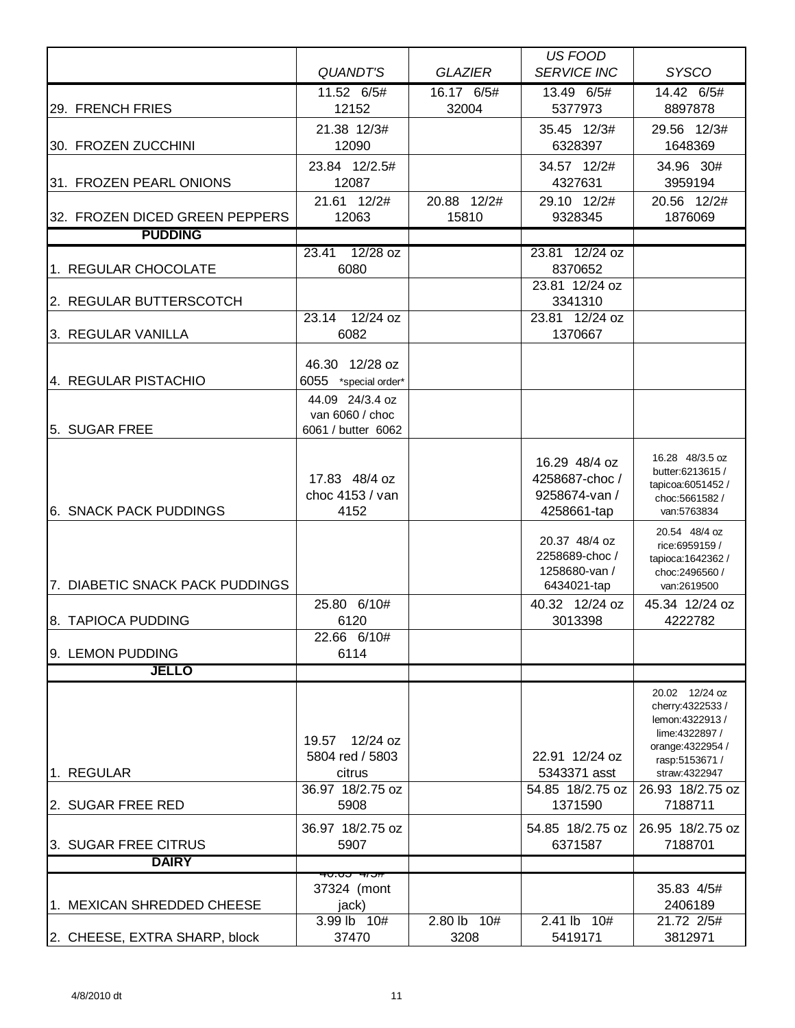|                                 |                                        |                | <b>US FOOD</b>                 |                                       |
|---------------------------------|----------------------------------------|----------------|--------------------------------|---------------------------------------|
|                                 | <b>QUANDT'S</b>                        | <b>GLAZIER</b> | <b>SERVICE INC</b>             | <b>SYSCO</b>                          |
|                                 | 11.52 6/5#                             | 16.17 6/5#     | 13.49 6/5#                     | 14.42 6/5#                            |
| 29. FRENCH FRIES                | 12152                                  | 32004          | 5377973                        | 8897878                               |
|                                 | 21.38 12/3#                            |                | 35.45 12/3#                    | 29.56 12/3#                           |
| 30. FROZEN ZUCCHINI             | 12090                                  |                | 6328397                        | 1648369                               |
|                                 | 23.84 12/2.5#                          |                | 34.57 12/2#                    | 34.96 30#                             |
| 31. FROZEN PEARL ONIONS         | 12087                                  |                | 4327631                        | 3959194                               |
|                                 | 21.61 12/2#                            | 20.88 12/2#    | 29.10 12/2#                    | 20.56 12/2#                           |
| 32. FROZEN DICED GREEN PEPPERS  | 12063                                  | 15810          | 9328345                        | 1876069                               |
| <b>PUDDING</b>                  |                                        |                |                                |                                       |
| 1. REGULAR CHOCOLATE            | $12/28$ oz<br>23.41<br>6080            |                | 23.81 12/24 oz<br>8370652      |                                       |
|                                 |                                        |                | 23.81 12/24 oz                 |                                       |
| 2. REGULAR BUTTERSCOTCH         |                                        |                | 3341310                        |                                       |
|                                 | 12/24 oz<br>23.14                      |                | 23.81 12/24 oz                 |                                       |
| 3. REGULAR VANILLA              | 6082                                   |                | 1370667                        |                                       |
|                                 | 46.30 12/28 oz                         |                |                                |                                       |
| 4. REGULAR PISTACHIO            | 6055 *special order*                   |                |                                |                                       |
|                                 | 44.09 24/3.4 oz                        |                |                                |                                       |
|                                 | van 6060 / choc                        |                |                                |                                       |
| 5. SUGAR FREE                   | 6061 / butter 6062                     |                |                                |                                       |
|                                 |                                        |                |                                | 16.28 48/3.5 oz                       |
|                                 |                                        |                | 16.29 48/4 oz                  | butter:6213615 /                      |
|                                 | 17.83 48/4 oz<br>choc 4153 / van       |                | 4258687-choc/<br>9258674-van / | tapicoa:6051452 /                     |
| <b>6. SNACK PACK PUDDINGS</b>   | 4152                                   |                | 4258661-tap                    | choc:5661582/<br>van:5763834          |
|                                 |                                        |                |                                | 20.54 48/4 oz                         |
|                                 |                                        |                | 20.37 48/4 oz                  | rice:6959159 /                        |
|                                 |                                        |                | 2258689-choc/                  | tapioca: 1642362 /                    |
| 7. DIABETIC SNACK PACK PUDDINGS |                                        |                | 1258680-van /<br>6434021-tap   | choc:2496560 /<br>van:2619500         |
|                                 | 25.80 6/10#                            |                | 40.32 12/24 oz                 | 45.34 12/24 oz                        |
| 8. TAPIOCA PUDDING              | 6120                                   |                | 3013398                        | 4222782                               |
|                                 | 22.66 6/10#                            |                |                                |                                       |
| 9. LEMON PUDDING                | 6114                                   |                |                                |                                       |
| <b>JELLO</b>                    |                                        |                |                                |                                       |
|                                 |                                        |                |                                | 20.02 12/24 oz                        |
|                                 |                                        |                |                                | cherry: 4322533 /<br>lemon: 4322913 / |
|                                 | 12/24 oz<br>19.57                      |                |                                | lime: 4322897 /                       |
|                                 | 5804 red / 5803                        |                | 22.91 12/24 oz                 | orange: 4322954 /                     |
| 1. REGULAR                      | citrus                                 |                | 5343371 asst                   | rasp:5153671 /<br>straw:4322947       |
|                                 | 36.97 18/2.75 oz                       |                | 54.85 18/2.75 oz               | 26.93 18/2.75 oz                      |
| 2. SUGAR FREE RED               | 5908                                   |                | 1371590                        | 7188711                               |
|                                 | 36.97 18/2.75 oz                       |                | 54.85 18/2.75 oz               | 26.95 18/2.75 oz                      |
| 3. SUGAR FREE CITRUS            | 5907                                   |                | 6371587                        | 7188701                               |
| <b>DAIRY</b>                    |                                        |                |                                |                                       |
|                                 | <del>זט וד יטט.טי</del><br>37324 (mont |                |                                | 35.83 4/5#                            |
| 1. MEXICAN SHREDDED CHEESE      | jack)                                  |                |                                | 2406189                               |
|                                 | 3.99 lb 10#                            | 2.80 lb 10#    | 2.41 lb 10#                    | 21.72 2/5#                            |
| 2. CHEESE, EXTRA SHARP, block   | 37470                                  | 3208           | 5419171                        | 3812971                               |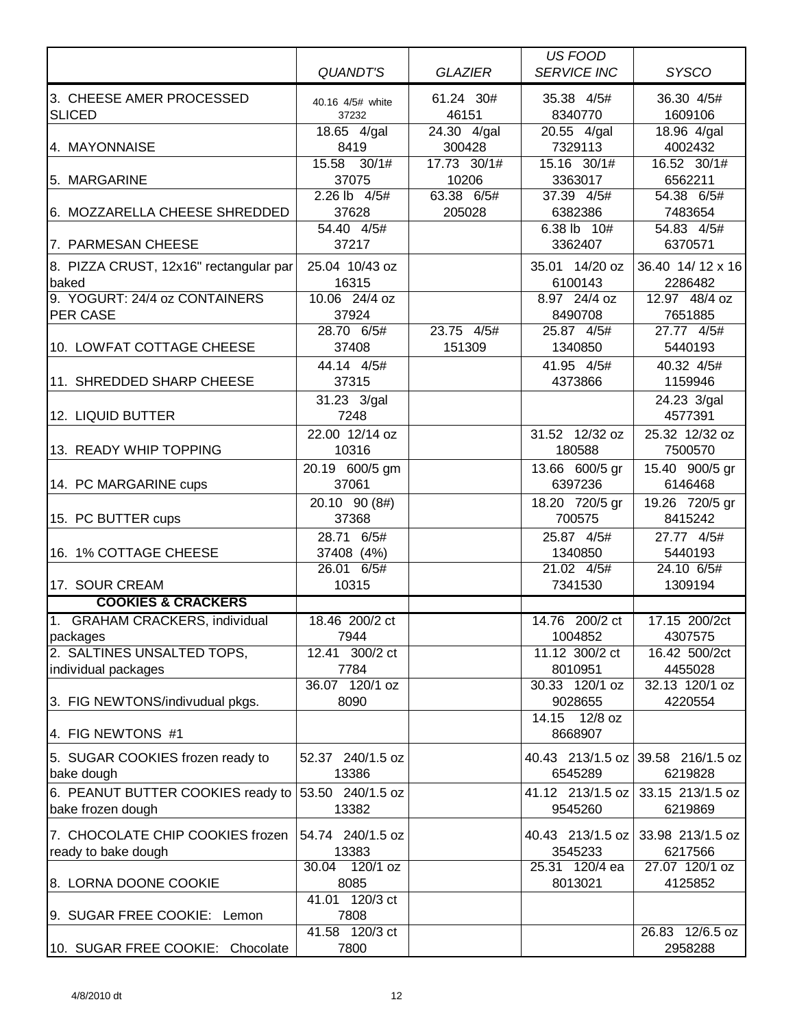|                                        |                                |                | <b>US FOOD</b>                 |                  |
|----------------------------------------|--------------------------------|----------------|--------------------------------|------------------|
|                                        | <b>QUANDT'S</b>                | <b>GLAZIER</b> | <b>SERVICE INC</b>             | <b>SYSCO</b>     |
| 3. CHEESE AMER PROCESSED               | 40.16 4/5# white               | 61.24 30#      | 35.38 4/5#                     | 36.30 4/5#       |
| <b>SLICED</b>                          | 37232                          | 46151          | 8340770                        | 1609106          |
|                                        | 18.65 4/gal                    | 24.30 4/gal    | $\overline{20.55 \quad 4/gal}$ | 18.96 4/gal      |
| 4. MAYONNAISE                          | 8419                           | 300428         | 7329113                        | 4002432          |
|                                        | 15.58 30/1#                    | 17.73 30/1#    | 15.16 30/1#                    | 16.52 30/1#      |
| 5. MARGARINE                           | 37075                          | 10206          | 3363017                        | 6562211          |
|                                        | 2.26 lb 4/5#                   | 63.38 6/5#     | 37.39 4/5#                     | 54.38 6/5#       |
| 6. MOZZARELLA CHEESE SHREDDED          | 37628                          | 205028         | 6382386                        | 7483654          |
|                                        | 54.40 4/5#                     |                | 6.38 lb 10#                    | 54.83 4/5#       |
| 7. PARMESAN CHEESE                     | 37217                          |                | 3362407                        | 6370571          |
| 8. PIZZA CRUST, 12x16" rectangular par | 25.04 10/43 oz                 |                | 35.01 14/20 oz                 | 36.40 14/12 x 16 |
| baked                                  | 16315                          |                | 6100143                        | 2286482          |
| 9. YOGURT: 24/4 oz CONTAINERS          | 10.06 24/4 oz                  |                | 8.97 24/4 oz                   | 12.97 48/4 oz    |
| <b>PER CASE</b>                        | 37924                          |                | 8490708                        | 7651885          |
|                                        | 28.70 6/5#                     | 23.75 4/5#     | 25.87 4/5#                     | 27.77 4/5#       |
| 10. LOWFAT COTTAGE CHEESE              | 37408                          | 151309         | 1340850                        | 5440193          |
|                                        | 44.14 4/5#                     |                | 41.95 4/5#                     | 40.32 4/5#       |
| 11. SHREDDED SHARP CHEESE              | 37315                          |                | 4373866                        | 1159946          |
|                                        | 31.23 3/gal                    |                |                                | 24.23 3/gal      |
| 12. LIQUID BUTTER                      | 7248                           |                |                                | 4577391          |
|                                        | 22.00 12/14 oz                 |                | 31.52 12/32 oz                 | 25.32 12/32 oz   |
| 13. READY WHIP TOPPING                 | 10316                          |                | 180588                         | 7500570          |
|                                        | 20.19 600/5 gm                 |                | 13.66 600/5 gr                 | 15.40 900/5 gr   |
| 14. PC MARGARINE cups                  | 37061                          |                | 6397236                        | 6146468          |
|                                        | 20.10 90 (8#)                  |                | 18.20 720/5 gr                 | 19.26 720/5 gr   |
| 15. PC BUTTER cups                     | 37368                          |                | 700575                         | 8415242          |
|                                        | 28.71 6/5#                     |                | 25.87 4/5#                     | 27.77 4/5#       |
| 16. 1% COTTAGE CHEESE                  | 37408 (4%)                     |                | 1340850                        | 5440193          |
|                                        | 26.01 6/5#                     |                | 21.02 4/5#                     | 24.10 6/5#       |
| 17. SOUR CREAM                         | 10315                          |                | 7341530                        | 1309194          |
| <b>COOKIES &amp; CRACKERS</b>          |                                |                |                                |                  |
| 1. GRAHAM CRACKERS, individual         | 18.46 200/2 ct                 |                | 14.76 200/2 ct                 | 17.15 200/2ct    |
| packages                               | 7944                           |                | 1004852                        | 4307575          |
| 2. SALTINES UNSALTED TOPS,             | 12.41 300/2 ct                 |                | 11.12 300/2 ct                 | 16.42 500/2ct    |
| individual packages                    | 7784                           |                | 8010951                        | 4455028          |
|                                        | 36.07 120/1 oz                 |                | 30.33 120/1 oz                 | 32.13 120/1 oz   |
| 3. FIG NEWTONS/indivudual pkgs.        | 8090                           |                | 9028655                        | 4220554          |
|                                        |                                |                | 14.15 12/8 oz                  |                  |
| 4. FIG NEWTONS #1                      |                                |                | 8668907                        |                  |
| 5. SUGAR COOKIES frozen ready to       | 52.37 240/1.5 oz               |                | 40.43 213/1.5 oz               | 39.58 216/1.5 oz |
| bake dough                             | 13386                          |                | 6545289                        | 6219828          |
| 6. PEANUT BUTTER COOKIES ready to      | 53.50 240/1.5 oz               |                | 41.12 213/1.5 oz               | 33.15 213/1.5 oz |
| bake frozen dough                      | 13382                          |                | 9545260                        | 6219869          |
|                                        |                                |                |                                |                  |
| 7. CHOCOLATE CHIP COOKIES frozen       | 54.74 240/1.5 oz               |                | 40.43 213/1.5 oz               | 33.98 213/1.5 oz |
| ready to bake dough                    | 13383                          |                | 3545233                        | 6217566          |
|                                        | 30.04<br>$\overline{120/1}$ oz |                | 25.31 120/4 ea                 | 27.07 120/1 oz   |
| 8. LORNA DOONE COOKIE                  | 8085                           |                | 8013021                        | 4125852          |
|                                        | 41.01 120/3 ct                 |                |                                |                  |
| 9. SUGAR FREE COOKIE: Lemon            | 7808<br>41.58 120/3 ct         |                |                                | 26.83 12/6.5 oz  |
| 10. SUGAR FREE COOKIE: Chocolate       | 7800                           |                |                                | 2958288          |
|                                        |                                |                |                                |                  |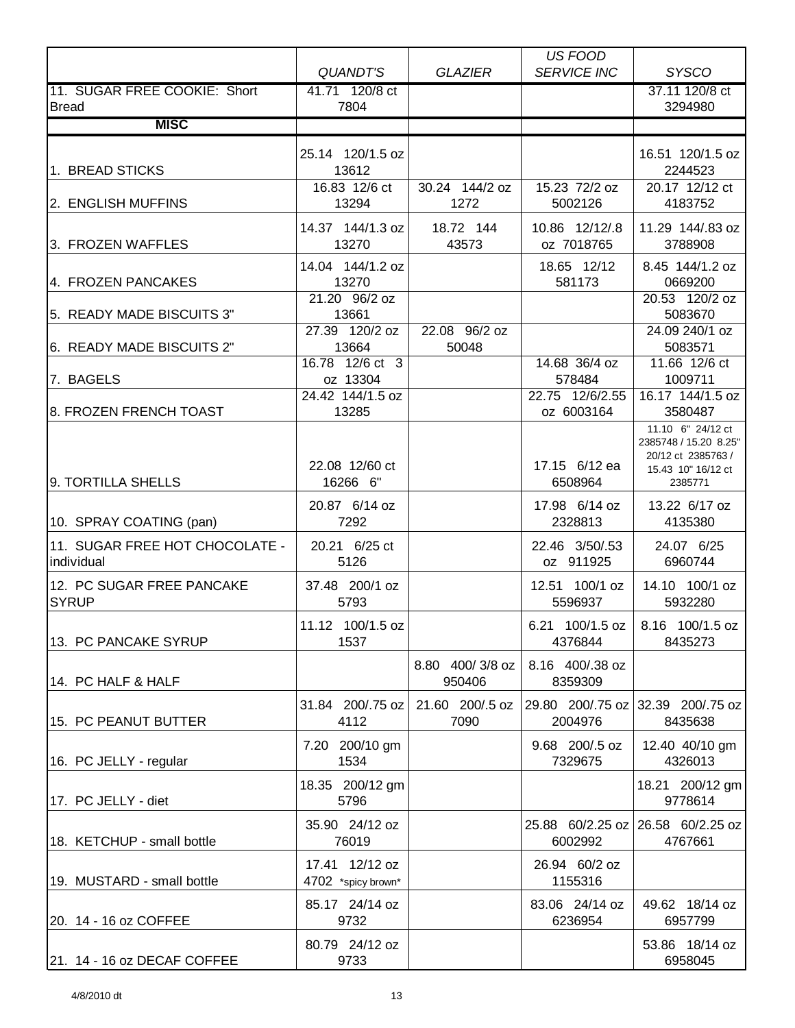|                                |                                      |                 | US FOOD                     |                                          |
|--------------------------------|--------------------------------------|-----------------|-----------------------------|------------------------------------------|
|                                | QUANDT'S                             | <b>GLAZIER</b>  | <b>SERVICE INC</b>          | <b>SYSCO</b>                             |
| 11. SUGAR FREE COOKIE: Short   | 41.71 120/8 ct                       |                 |                             | 37.11 120/8 ct                           |
| <b>Bread</b>                   | 7804                                 |                 |                             | 3294980                                  |
| <b>MISC</b>                    |                                      |                 |                             |                                          |
|                                | 25.14 120/1.5 oz                     |                 |                             | 16.51 120/1.5 oz                         |
| 1. BREAD STICKS                | 13612                                |                 |                             | 2244523                                  |
|                                | 16.83 12/6 ct                        | 30.24 144/2 oz  | 15.23 72/2 oz               | 20.17 12/12 ct                           |
| 2. ENGLISH MUFFINS             | 13294                                | 1272            | 5002126                     | 4183752                                  |
|                                | 14.37 144/1.3 oz                     | 18.72 144       | 10.86 12/12/.8              | 11.29 144/.83 oz                         |
| 3. FROZEN WAFFLES              | 13270                                | 43573           | oz 7018765                  | 3788908                                  |
|                                | 14.04 144/1.2 oz                     |                 | 18.65 12/12                 | 8.45 144/1.2 oz                          |
| 4. FROZEN PANCAKES             | 13270<br>21.20 96/2 oz               |                 | 581173                      | 0669200<br>20.53 120/2 oz                |
| 5. READY MADE BISCUITS 3"      | 13661                                |                 |                             | 5083670                                  |
|                                | 27.39 120/2 oz                       | 22.08 96/2 oz   |                             | 24.09 240/1 oz                           |
| 6. READY MADE BISCUITS 2"      | 13664                                | 50048           |                             | 5083571                                  |
|                                | 16.78 12/6 ct 3                      |                 | 14.68 36/4 oz               | 11.66 12/6 ct                            |
| 7. BAGELS                      | oz 13304<br>24.42 144/1.5 oz         |                 | 578484<br>22.75 12/6/2.55   | 1009711<br>16.17 144/1.5 oz              |
| 8. FROZEN FRENCH TOAST         | 13285                                |                 | oz 6003164                  | 3580487                                  |
|                                |                                      |                 |                             | 11.10 6" 24/12 ct                        |
|                                |                                      |                 |                             | 2385748 / 15.20 8.25"                    |
|                                | 22.08 12/60 ct                       |                 | 17.15 6/12 ea               | 20/12 ct 2385763 /<br>15.43 10" 16/12 ct |
| 9. TORTILLA SHELLS             | 16266 6"                             |                 | 6508964                     | 2385771                                  |
|                                | 20.87 6/14 oz                        |                 | 17.98 6/14 oz               | 13.22 6/17 oz                            |
| 10. SPRAY COATING (pan)        | 7292                                 |                 | 2328813                     | 4135380                                  |
| 11. SUGAR FREE HOT CHOCOLATE - | 20.21 6/25 ct                        |                 | 22.46 3/50/.53              | 24.07 6/25                               |
| individual                     | 5126                                 |                 | oz 911925                   | 6960744                                  |
| 12. PC SUGAR FREE PANCAKE      | 37.48 200/1 oz                       |                 | 12.51 100/1 oz              | 14.10 100/1 oz                           |
| <b>SYRUP</b>                   | 5793                                 |                 | 5596937                     | 5932280                                  |
|                                | 11.12 100/1.5 oz                     |                 |                             | 6.21 100/1.5 oz   8.16 100/1.5 oz        |
| 13. PC PANCAKE SYRUP           | 1537                                 |                 | 4376844                     | 8435273                                  |
|                                |                                      | 8.80 400/3/8 oz | 8.16 400/.38 oz             |                                          |
| 14. PC HALF & HALF             |                                      | 950406          | 8359309                     |                                          |
|                                | 31.84 200/.75 oz                     | 21.60 200/.5 oz | 29.80 200/.75 oz            | 32.39 200/.75 oz                         |
| 15. PC PEANUT BUTTER           | 4112                                 | 7090            | 2004976                     | 8435638                                  |
|                                | 7.20 200/10 gm                       |                 | 9.68 200/.5 oz              | 12.40 40/10 gm                           |
| 16. PC JELLY - regular         | 1534                                 |                 | 7329675                     | 4326013                                  |
|                                |                                      |                 |                             |                                          |
| 17. PC JELLY - diet            | 18.35 200/12 gm<br>5796              |                 |                             | 18.21 200/12 gm<br>9778614               |
|                                |                                      |                 |                             |                                          |
| 18. KETCHUP - small bottle     | 35.90 24/12 oz<br>76019              |                 | 25.88 60/2.25 oz<br>6002992 | 26.58 60/2.25 oz<br>4767661              |
|                                |                                      |                 |                             |                                          |
| 19. MUSTARD - small bottle     | 17.41 12/12 oz<br>4702 *spicy brown* |                 | 26.94 60/2 oz<br>1155316    |                                          |
|                                |                                      |                 |                             |                                          |
| 20. 14 - 16 oz COFFEE          | 85.17 24/14 oz<br>9732               |                 | 83.06 24/14 oz<br>6236954   | 49.62 18/14 oz<br>6957799                |
|                                |                                      |                 |                             |                                          |
|                                | 80.79 24/12 oz                       |                 |                             | 53.86 18/14 oz                           |
| 21. 14 - 16 oz DECAF COFFEE    | 9733                                 |                 |                             | 6958045                                  |